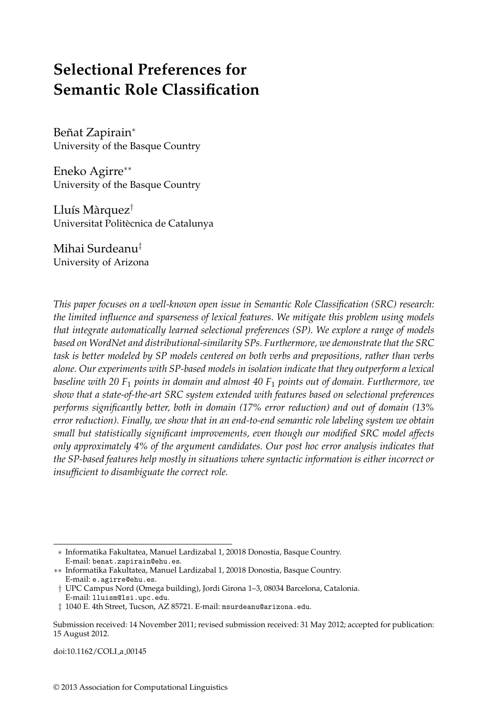# **Selectional Preferences for Semantic Role Classification**

Beñat Zapirain<sup>\*</sup> University of the Basque Country

Eneko Agirre∗∗ University of the Basque Country

Lluís Màrquez $\bar{ }$ Universitat Politècnica de Catalunya

Mihai Surdeanu‡ University of Arizona

*This paper focuses on a well-known open issue in Semantic Role Classification (SRC) research: the limited influence and sparseness of lexical features. We mitigate this problem using models that integrate automatically learned selectional preferences (SP). We explore a range of models based on WordNet and distributional-similarity SPs. Furthermore, we demonstrate that the SRC task is better modeled by SP models centered on both verbs and prepositions, rather than verbs alone. Our experiments with SP-based models in isolation indicate that they outperform a lexical baseline with 20 F*<sup>1</sup> *points in domain and almost 40 F*<sup>1</sup> *points out of domain. Furthermore, we show that a state-of-the-art SRC system extended with features based on selectional preferences performs significantly better, both in domain (17% error reduction) and out of domain (13% error reduction). Finally, we show that in an end-to-end semantic role labeling system we obtain small but statistically significant improvements, even though our modified SRC model affects only approximately 4% of the argument candidates. Our post hoc error analysis indicates that the SP-based features help mostly in situations where syntactic information is either incorrect or insufficient to disambiguate the correct role.*

doi:10.1162/COLI\_a\_00145

<sup>∗</sup> Informatika Fakultatea, Manuel Lardizabal 1, 20018 Donostia, Basque Country. E-mail: benat.zapirain@ehu.es.

<sup>∗∗</sup> Informatika Fakultatea, Manuel Lardizabal 1, 20018 Donostia, Basque Country. E-mail: e.agirre@ehu.es.

<sup>†</sup> UPC Campus Nord (Omega building), Jordi Girona 1–3, 08034 Barcelona, Catalonia.

E-mail: lluism@lsi.upc.edu.

<sup>‡</sup> 1040 E. 4th Street, Tucson, AZ 85721. E-mail: msurdeanu@arizona.edu.

Submission received: 14 November 2011; revised submission received: 31 May 2012; accepted for publication: 15 August 2012.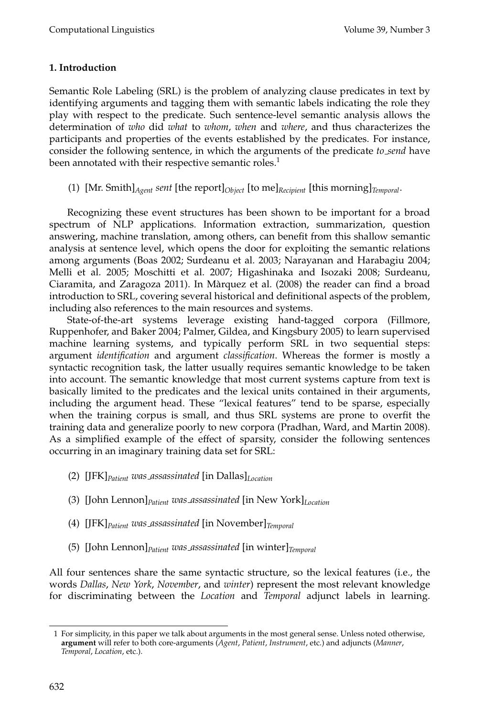# **1. Introduction**

Semantic Role Labeling (SRL) is the problem of analyzing clause predicates in text by identifying arguments and tagging them with semantic labels indicating the role they play with respect to the predicate. Such sentence-level semantic analysis allows the determination of *who* did *what* to *whom*, *when* and *where*, and thus characterizes the participants and properties of the events established by the predicates. For instance, consider the following sentence, in which the arguments of the predicate *to send* have been annotated with their respective semantic roles.<sup>1</sup>

(1) [Mr. Smith]*Agent sent* [the report]*Object* [to me]*Recipient* [this morning]*Temporal*.

Recognizing these event structures has been shown to be important for a broad spectrum of NLP applications. Information extraction, summarization, question answering, machine translation, among others, can benefit from this shallow semantic analysis at sentence level, which opens the door for exploiting the semantic relations among arguments (Boas 2002; Surdeanu et al. 2003; Narayanan and Harabagiu 2004; Melli et al. 2005; Moschitti et al. 2007; Higashinaka and Isozaki 2008; Surdeanu, Ciaramita, and Zaragoza 2011). In Marquez et al. (2008) the reader can find a broad ` introduction to SRL, covering several historical and definitional aspects of the problem, including also references to the main resources and systems.

State-of-the-art systems leverage existing hand-tagged corpora (Fillmore, Ruppenhofer, and Baker 2004; Palmer, Gildea, and Kingsbury 2005) to learn supervised machine learning systems, and typically perform SRL in two sequential steps: argument *identification* and argument *classification*. Whereas the former is mostly a syntactic recognition task, the latter usually requires semantic knowledge to be taken into account. The semantic knowledge that most current systems capture from text is basically limited to the predicates and the lexical units contained in their arguments, including the argument head. These "lexical features" tend to be sparse, especially when the training corpus is small, and thus SRL systems are prone to overfit the training data and generalize poorly to new corpora (Pradhan, Ward, and Martin 2008). As a simplified example of the effect of sparsity, consider the following sentences occurring in an imaginary training data set for SRL:

- (2) [JFK]*Patient was assassinated* [in Dallas]*Location*
- (3) [John Lennon]*Patient was assassinated* [in New York]*Location*
- (4) [JFK]*Patient was assassinated* [in November]*Temporal*
- (5) [John Lennon]*Patient was assassinated* [in winter]*Temporal*

All four sentences share the same syntactic structure, so the lexical features (i.e., the words *Dallas*, *New York*, *November*, and *winter*) represent the most relevant knowledge for discriminating between the *Location* and *Temporal* adjunct labels in learning.

<sup>1</sup> For simplicity, in this paper we talk about arguments in the most general sense. Unless noted otherwise, **argument** will refer to both core-arguments (*Agent*, *Patient*, *Instrument*, etc.) and adjuncts (*Manner*, *Temporal*, *Location*, etc.).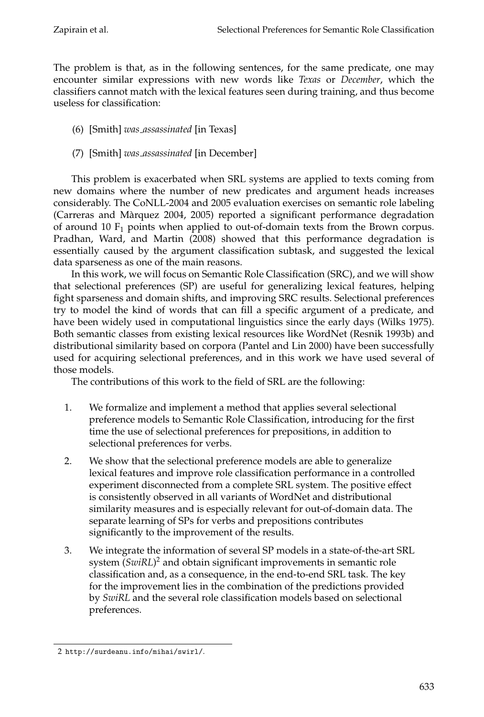The problem is that, as in the following sentences, for the same predicate, one may encounter similar expressions with new words like *Texas* or *December*, which the classifiers cannot match with the lexical features seen during training, and thus become useless for classification:

- (6) [Smith] *was assassinated* [in Texas]
- (7) [Smith] *was assassinated* [in December]

This problem is exacerbated when SRL systems are applied to texts coming from new domains where the number of new predicates and argument heads increases considerably. The CoNLL-2004 and 2005 evaluation exercises on semantic role labeling (Carreras and Marquez 2004, 2005) reported a significant performance degradation ` of around 10  $F_1$  points when applied to out-of-domain texts from the Brown corpus. Pradhan, Ward, and Martin (2008) showed that this performance degradation is essentially caused by the argument classification subtask, and suggested the lexical data sparseness as one of the main reasons.

In this work, we will focus on Semantic Role Classification (SRC), and we will show that selectional preferences (SP) are useful for generalizing lexical features, helping fight sparseness and domain shifts, and improving SRC results. Selectional preferences try to model the kind of words that can fill a specific argument of a predicate, and have been widely used in computational linguistics since the early days (Wilks 1975). Both semantic classes from existing lexical resources like WordNet (Resnik 1993b) and distributional similarity based on corpora (Pantel and Lin 2000) have been successfully used for acquiring selectional preferences, and in this work we have used several of those models.

The contributions of this work to the field of SRL are the following:

- 1. We formalize and implement a method that applies several selectional preference models to Semantic Role Classification, introducing for the first time the use of selectional preferences for prepositions, in addition to selectional preferences for verbs.
- 2. We show that the selectional preference models are able to generalize lexical features and improve role classification performance in a controlled experiment disconnected from a complete SRL system. The positive effect is consistently observed in all variants of WordNet and distributional similarity measures and is especially relevant for out-of-domain data. The separate learning of SPs for verbs and prepositions contributes significantly to the improvement of the results.
- 3. We integrate the information of several SP models in a state-of-the-art SRL system (*SwiRL*) <sup>2</sup> and obtain significant improvements in semantic role classification and, as a consequence, in the end-to-end SRL task. The key for the improvement lies in the combination of the predictions provided by *SwiRL* and the several role classification models based on selectional preferences.

<sup>2</sup> http://surdeanu.info/mihai/swirl/.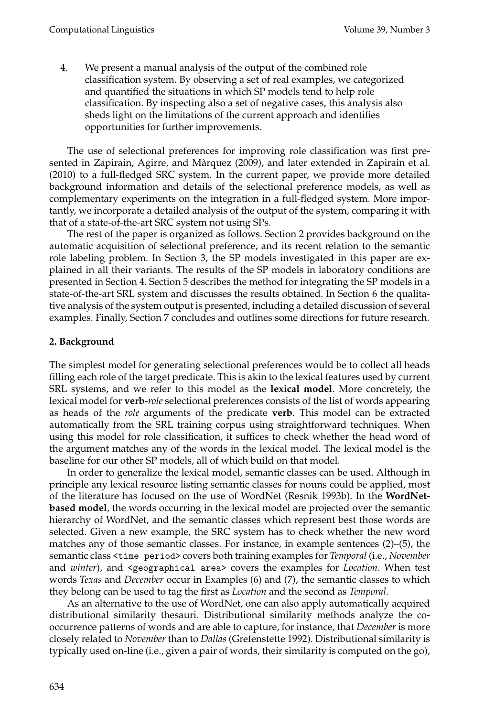4. We present a manual analysis of the output of the combined role classification system. By observing a set of real examples, we categorized and quantified the situations in which SP models tend to help role classification. By inspecting also a set of negative cases, this analysis also sheds light on the limitations of the current approach and identifies opportunities for further improvements.

The use of selectional preferences for improving role classification was first presented in Zapirain, Agirre, and Màrquez (2009), and later extended in Zapirain et al. (2010) to a full-fledged SRC system. In the current paper, we provide more detailed background information and details of the selectional preference models, as well as complementary experiments on the integration in a full-fledged system. More importantly, we incorporate a detailed analysis of the output of the system, comparing it with that of a state-of-the-art SRC system not using SPs.

The rest of the paper is organized as follows. Section 2 provides background on the automatic acquisition of selectional preference, and its recent relation to the semantic role labeling problem. In Section 3, the SP models investigated in this paper are explained in all their variants. The results of the SP models in laboratory conditions are presented in Section 4. Section 5 describes the method for integrating the SP models in a state-of-the-art SRL system and discusses the results obtained. In Section 6 the qualitative analysis of the system output is presented, including a detailed discussion of several examples. Finally, Section 7 concludes and outlines some directions for future research.

### **2. Background**

The simplest model for generating selectional preferences would be to collect all heads filling each role of the target predicate. This is akin to the lexical features used by current SRL systems, and we refer to this model as the **lexical model**. More concretely, the lexical model for **verb**-*role* selectional preferences consists of the list of words appearing as heads of the *role* arguments of the predicate **verb**. This model can be extracted automatically from the SRL training corpus using straightforward techniques. When using this model for role classification, it suffices to check whether the head word of the argument matches any of the words in the lexical model. The lexical model is the baseline for our other SP models, all of which build on that model.

In order to generalize the lexical model, semantic classes can be used. Although in principle any lexical resource listing semantic classes for nouns could be applied, most of the literature has focused on the use of WordNet (Resnik 1993b). In the **WordNetbased model**, the words occurring in the lexical model are projected over the semantic hierarchy of WordNet, and the semantic classes which represent best those words are selected. Given a new example, the SRC system has to check whether the new word matches any of those semantic classes. For instance, in example sentences (2)–(5), the semantic class <time period> covers both training examples for *Temporal* (i.e., *November* and *winter*), and <geographical area> covers the examples for *Location*. When test words *Texas* and *December* occur in Examples (6) and (7), the semantic classes to which they belong can be used to tag the first as *Location* and the second as *Temporal*.

As an alternative to the use of WordNet, one can also apply automatically acquired distributional similarity thesauri. Distributional similarity methods analyze the cooccurrence patterns of words and are able to capture, for instance, that *December* is more closely related to *November* than to *Dallas* (Grefenstette 1992). Distributional similarity is typically used on-line (i.e., given a pair of words, their similarity is computed on the go),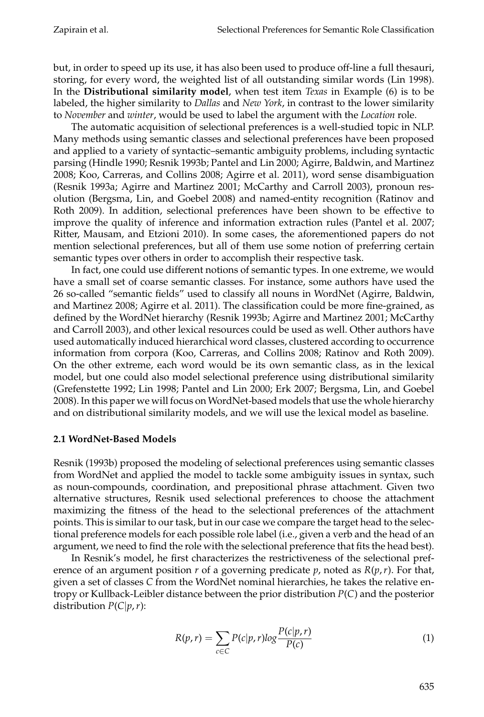but, in order to speed up its use, it has also been used to produce off-line a full thesauri, storing, for every word, the weighted list of all outstanding similar words (Lin 1998). In the **Distributional similarity model**, when test item *Texas* in Example (6) is to be labeled, the higher similarity to *Dallas* and *New York*, in contrast to the lower similarity to *November* and *winter*, would be used to label the argument with the *Location* role.

The automatic acquisition of selectional preferences is a well-studied topic in NLP. Many methods using semantic classes and selectional preferences have been proposed and applied to a variety of syntactic–semantic ambiguity problems, including syntactic parsing (Hindle 1990; Resnik 1993b; Pantel and Lin 2000; Agirre, Baldwin, and Martinez 2008; Koo, Carreras, and Collins 2008; Agirre et al. 2011), word sense disambiguation (Resnik 1993a; Agirre and Martinez 2001; McCarthy and Carroll 2003), pronoun resolution (Bergsma, Lin, and Goebel 2008) and named-entity recognition (Ratinov and Roth 2009). In addition, selectional preferences have been shown to be effective to improve the quality of inference and information extraction rules (Pantel et al. 2007; Ritter, Mausam, and Etzioni 2010). In some cases, the aforementioned papers do not mention selectional preferences, but all of them use some notion of preferring certain semantic types over others in order to accomplish their respective task.

In fact, one could use different notions of semantic types. In one extreme, we would have a small set of coarse semantic classes. For instance, some authors have used the 26 so-called "semantic fields" used to classify all nouns in WordNet (Agirre, Baldwin, and Martinez 2008; Agirre et al. 2011). The classification could be more fine-grained, as defined by the WordNet hierarchy (Resnik 1993b; Agirre and Martinez 2001; McCarthy and Carroll 2003), and other lexical resources could be used as well. Other authors have used automatically induced hierarchical word classes, clustered according to occurrence information from corpora (Koo, Carreras, and Collins 2008; Ratinov and Roth 2009). On the other extreme, each word would be its own semantic class, as in the lexical model, but one could also model selectional preference using distributional similarity (Grefenstette 1992; Lin 1998; Pantel and Lin 2000; Erk 2007; Bergsma, Lin, and Goebel 2008). In this paper we will focus on WordNet-based models that use the whole hierarchy and on distributional similarity models, and we will use the lexical model as baseline.

# **2.1 WordNet-Based Models**

Resnik (1993b) proposed the modeling of selectional preferences using semantic classes from WordNet and applied the model to tackle some ambiguity issues in syntax, such as noun-compounds, coordination, and prepositional phrase attachment. Given two alternative structures, Resnik used selectional preferences to choose the attachment maximizing the fitness of the head to the selectional preferences of the attachment points. This is similar to our task, but in our case we compare the target head to the selectional preference models for each possible role label (i.e., given a verb and the head of an argument, we need to find the role with the selectional preference that fits the head best).

In Resnik's model, he first characterizes the restrictiveness of the selectional preference of an argument position *r* of a governing predicate *p*, noted as  $R(p, r)$ . For that, given a set of classes *C* from the WordNet nominal hierarchies, he takes the relative entropy or Kullback-Leibler distance between the prior distribution *P*(*C*) and the posterior distribution  $P(C|p, r)$ :

$$
R(p,r) = \sum_{c \in C} P(c|p,r) \log \frac{P(c|p,r)}{P(c)}
$$
(1)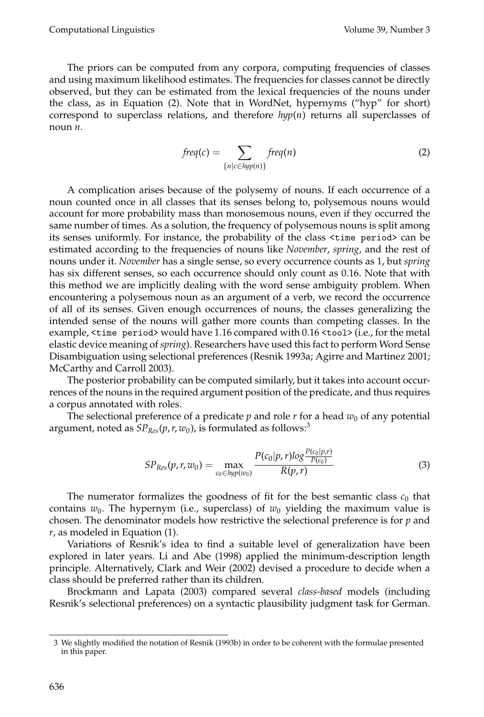The priors can be computed from any corpora, computing frequencies of classes and using maximum likelihood estimates. The frequencies for classes cannot be directly observed, but they can be estimated from the lexical frequencies of the nouns under the class, as in Equation (2). Note that in WordNet, hypernyms ("hyp" for short) correspond to superclass relations, and therefore  $hyp(n)$  returns all superclasses of noun *n*.

$$
freq(c) = \sum_{\{n \mid c \in hyp(n)\}} freq(n) \tag{2}
$$

A complication arises because of the polysemy of nouns. If each occurrence of a noun counted once in all classes that its senses belong to, polysemous nouns would account for more probability mass than monosemous nouns, even if they occurred the same number of times. As a solution, the frequency of polysemous nouns is split among its senses uniformly. For instance, the probability of the class <time period> can be estimated according to the frequencies of nouns like *November*, *spring*, and the rest of nouns under it. *November* has a single sense, so every occurrence counts as 1, but *spring* has six different senses, so each occurrence should only count as 0.16. Note that with this method we are implicitly dealing with the word sense ambiguity problem. When encountering a polysemous noun as an argument of a verb, we record the occurrence of all of its senses. Given enough occurrences of nouns, the classes generalizing the intended sense of the nouns will gather more counts than competing classes. In the example, <time period> would have 1.16 compared with 0.16 <tool> (i.e., for the metal elastic device meaning of *spring*). Researchers have used this fact to perform Word Sense Disambiguation using selectional preferences (Resnik 1993a; Agirre and Martinez 2001; McCarthy and Carroll 2003).

The posterior probability can be computed similarly, but it takes into account occurrences of the nouns in the required argument position of the predicate, and thus requires a corpus annotated with roles.

The selectional preference of a predicate  $p$  and role  $r$  for a head  $w_0$  of any potential argument, noted as  $SP_{Res}(p, r, w_0)$ , is formulated as follows:<sup>3</sup>

$$
SP_{Res}(p, r, w_0) = \max_{c_0 \in hyp(w_0)} \frac{P(c_0|p, r) \log \frac{P(c_0|p, r)}{P(c_0)}}{R(p, r)}
$$
(3)

The numerator formalizes the goodness of fit for the best semantic class  $c_0$  that contains  $w_0$ . The hypernym (i.e., superclass) of  $w_0$  yielding the maximum value is chosen. The denominator models how restrictive the selectional preference is for *p* and *r*, as modeled in Equation (1).

Variations of Resnik's idea to find a suitable level of generalization have been explored in later years. Li and Abe (1998) applied the minimum-description length principle. Alternatively, Clark and Weir (2002) devised a procedure to decide when a class should be preferred rather than its children.

Brockmann and Lapata (2003) compared several *class-based* models (including Resnik's selectional preferences) on a syntactic plausibility judgment task for German.

<sup>3</sup> We slightly modified the notation of Resnik (1993b) in order to be coherent with the formulae presented in this paper.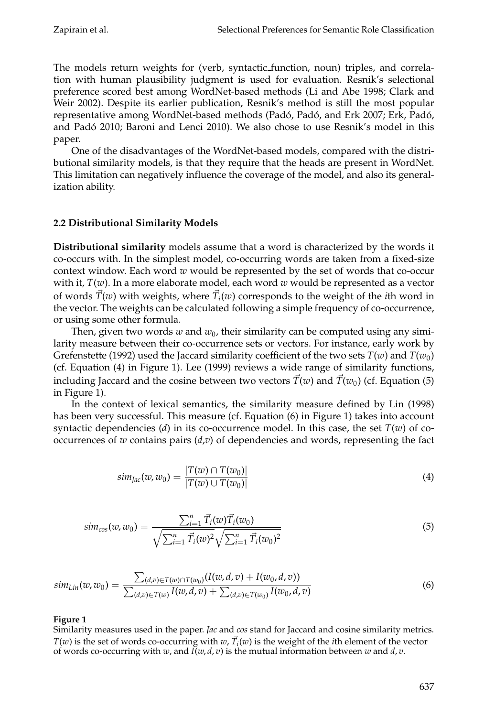The models return weights for (verb, syntactic function, noun) triples, and correlation with human plausibility judgment is used for evaluation. Resnik's selectional preference scored best among WordNet-based methods (Li and Abe 1998; Clark and Weir 2002). Despite its earlier publication, Resnik's method is still the most popular representative among WordNet-based methods (Padó, Padó, and Erk 2007; Erk, Padó, and Padó 2010; Baroni and Lenci 2010). We also chose to use Resnik's model in this paper.

One of the disadvantages of the WordNet-based models, compared with the distributional similarity models, is that they require that the heads are present in WordNet. This limitation can negatively influence the coverage of the model, and also its generalization ability.

# **2.2 Distributional Similarity Models**

**Distributional similarity** models assume that a word is characterized by the words it co-occurs with. In the simplest model, co-occurring words are taken from a fixed-size context window. Each word *w* would be represented by the set of words that co-occur with it, *T*(*w*). In a more elaborate model, each word *w* would be represented as a vector of words  $\vec{T}(w)$  with weights, where  $\vec{T}_i(w)$  corresponds to the weight of the *i*th word in the vector. The weights can be calculated following a simple frequency of co-occurrence, or using some other formula.

Then, given two words  $w$  and  $w_0$ , their similarity can be computed using any similarity measure between their co-occurrence sets or vectors. For instance, early work by Grefenstette (1992) used the Jaccard similarity coefficient of the two sets  $T(w)$  and  $T(w_0)$ (cf. Equation (4) in Figure 1). Lee (1999) reviews a wide range of similarity functions, including Jaccard and the cosine between two vectors  $\vec{T}(w)$  and  $\vec{T}(w_0)$  (cf. Equation (5) in Figure 1).

In the context of lexical semantics, the similarity measure defined by Lin (1998) has been very successful. This measure (cf. Equation (6) in Figure 1) takes into account syntactic dependencies (*d*) in its co-occurrence model. In this case, the set  $T(w)$  of cooccurrences of  $w$  contains pairs  $(d,v)$  of dependencies and words, representing the fact

$$
sim_{Jac}(w, w_0) = \frac{|T(w) \cap T(w_0)|}{|T(w) \cup T(w_0)|}
$$
\n(4)

$$
sim_{cos}(w, w_0) = \frac{\sum_{i=1}^{n} \vec{T}_i(w) \vec{T}_i(w_0)}{\sqrt{\sum_{i=1}^{n} \vec{T}_i(w)^2} \sqrt{\sum_{i=1}^{n} \vec{T}_i(w_0)^2}}
$$
(5)

$$
sim_{Lin}(w, w_0) = \frac{\sum_{(d,v) \in T(w) \cap T(w_0)} (I(w, d, v) + I(w_0, d, v))}{\sum_{(d,v) \in T(w)} I(w, d, v) + \sum_{(d,v) \in T(w_0)} I(w_0, d, v)}
$$
(6)

# **Figure 1**

Similarity measures used in the paper. *Jac* and *cos* stand for Jaccard and cosine similarity metrics. *T*(*w*) is the set of words co-occurring with *w*,  $\vec{T_i}(w)$  is the weight of the *i*th element of the vector of words co-occurring with *w*, and *I*(*w*, *d*, *v*) is the mutual information between *w* and *d*, *v*.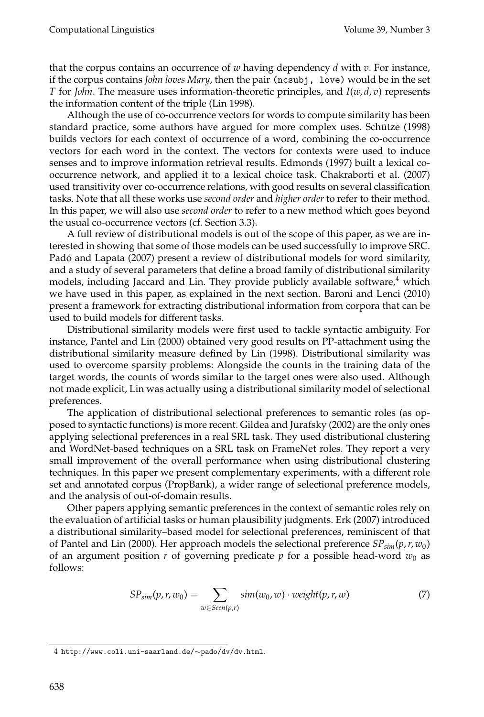that the corpus contains an occurrence of *w* having dependency *d* with *v*. For instance, if the corpus contains *John loves Mary*, then the pair (ncsubj, love) would be in the set *T* for *John*. The measure uses information-theoretic principles, and *I*(*w*, *d*, *v*) represents the information content of the triple (Lin 1998).

Although the use of co-occurrence vectors for words to compute similarity has been standard practice, some authors have argued for more complex uses. Schütze (1998) builds vectors for each context of occurrence of a word, combining the co-occurrence vectors for each word in the context. The vectors for contexts were used to induce senses and to improve information retrieval results. Edmonds (1997) built a lexical cooccurrence network, and applied it to a lexical choice task. Chakraborti et al. (2007) used transitivity over co-occurrence relations, with good results on several classification tasks. Note that all these works use *second order* and *higher order* to refer to their method. In this paper, we will also use *second order* to refer to a new method which goes beyond the usual co-occurrence vectors (cf. Section 3.3).

A full review of distributional models is out of the scope of this paper, as we are interested in showing that some of those models can be used successfully to improve SRC. Padó and Lapata (2007) present a review of distributional models for word similarity, and a study of several parameters that define a broad family of distributional similarity models, including Jaccard and Lin. They provide publicly available software, $4$  which we have used in this paper, as explained in the next section. Baroni and Lenci (2010) present a framework for extracting distributional information from corpora that can be used to build models for different tasks.

Distributional similarity models were first used to tackle syntactic ambiguity. For instance, Pantel and Lin (2000) obtained very good results on PP-attachment using the distributional similarity measure defined by Lin (1998). Distributional similarity was used to overcome sparsity problems: Alongside the counts in the training data of the target words, the counts of words similar to the target ones were also used. Although not made explicit, Lin was actually using a distributional similarity model of selectional preferences.

The application of distributional selectional preferences to semantic roles (as opposed to syntactic functions) is more recent. Gildea and Jurafsky (2002) are the only ones applying selectional preferences in a real SRL task. They used distributional clustering and WordNet-based techniques on a SRL task on FrameNet roles. They report a very small improvement of the overall performance when using distributional clustering techniques. In this paper we present complementary experiments, with a different role set and annotated corpus (PropBank), a wider range of selectional preference models, and the analysis of out-of-domain results.

Other papers applying semantic preferences in the context of semantic roles rely on the evaluation of artificial tasks or human plausibility judgments. Erk (2007) introduced a distributional similarity–based model for selectional preferences, reminiscent of that of Pantel and Lin (2000). Her approach models the selectional preference *SPsim*(*p*,*r*, *w*0) of an argument position  $r$  of governing predicate  $p$  for a possible head-word  $w_0$  as follows:

$$
SP_{sim}(p,r,w_0) = \sum_{w \in Seen(p,r)} sim(w_0, w) \cdot weight(p,r,w)
$$
 (7)

<sup>4</sup> http://www.coli.uni-saarland.de/∼pado/dv/dv.html.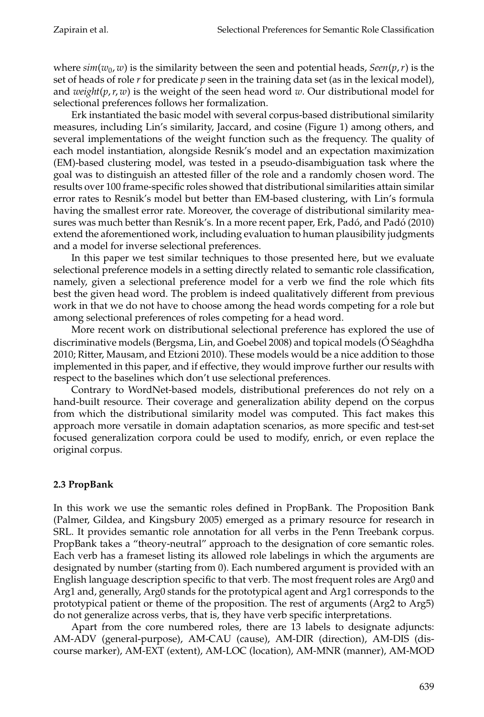where  $\sin(w_0, w)$  is the similarity between the seen and potential heads,  $\text{Seen}(p, r)$  is the set of heads of role *r* for predicate *p* seen in the training data set (as in the lexical model), and *weight*(*p*,*r*, *w*) is the weight of the seen head word *w*. Our distributional model for selectional preferences follows her formalization.

Erk instantiated the basic model with several corpus-based distributional similarity measures, including Lin's similarity, Jaccard, and cosine (Figure 1) among others, and several implementations of the weight function such as the frequency. The quality of each model instantiation, alongside Resnik's model and an expectation maximization (EM)-based clustering model, was tested in a pseudo-disambiguation task where the goal was to distinguish an attested filler of the role and a randomly chosen word. The results over 100 frame-specific roles showed that distributional similarities attain similar error rates to Resnik's model but better than EM-based clustering, with Lin's formula having the smallest error rate. Moreover, the coverage of distributional similarity measures was much better than Resnik's. In a more recent paper, Erk, Padó, and Padó (2010) extend the aforementioned work, including evaluation to human plausibility judgments and a model for inverse selectional preferences.

In this paper we test similar techniques to those presented here, but we evaluate selectional preference models in a setting directly related to semantic role classification, namely, given a selectional preference model for a verb we find the role which fits best the given head word. The problem is indeed qualitatively different from previous work in that we do not have to choose among the head words competing for a role but among selectional preferences of roles competing for a head word.

More recent work on distributional selectional preference has explored the use of discriminative models (Bergsma, Lin, and Goebel 2008) and topical models (Ó Séaghdha 2010; Ritter, Mausam, and Etzioni 2010). These models would be a nice addition to those implemented in this paper, and if effective, they would improve further our results with respect to the baselines which don't use selectional preferences.

Contrary to WordNet-based models, distributional preferences do not rely on a hand-built resource. Their coverage and generalization ability depend on the corpus from which the distributional similarity model was computed. This fact makes this approach more versatile in domain adaptation scenarios, as more specific and test-set focused generalization corpora could be used to modify, enrich, or even replace the original corpus.

# **2.3 PropBank**

In this work we use the semantic roles defined in PropBank. The Proposition Bank (Palmer, Gildea, and Kingsbury 2005) emerged as a primary resource for research in SRL. It provides semantic role annotation for all verbs in the Penn Treebank corpus. PropBank takes a "theory-neutral" approach to the designation of core semantic roles. Each verb has a frameset listing its allowed role labelings in which the arguments are designated by number (starting from 0). Each numbered argument is provided with an English language description specific to that verb. The most frequent roles are Arg0 and Arg1 and, generally, Arg0 stands for the prototypical agent and Arg1 corresponds to the prototypical patient or theme of the proposition. The rest of arguments (Arg2 to Arg5) do not generalize across verbs, that is, they have verb specific interpretations.

Apart from the core numbered roles, there are 13 labels to designate adjuncts: AM-ADV (general-purpose), AM-CAU (cause), AM-DIR (direction), AM-DIS (discourse marker), AM-EXT (extent), AM-LOC (location), AM-MNR (manner), AM-MOD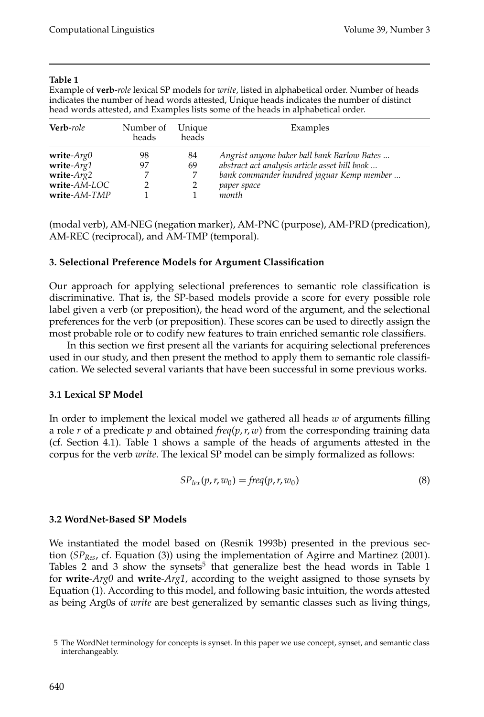Example of **verb**-*role* lexical SP models for *write*, listed in alphabetical order. Number of heads indicates the number of head words attested, Unique heads indicates the number of distinct head words attested, and Examples lists some of the heads in alphabetical order.

| <b>Verb-role</b>                                                                | Number of<br>heads | Unique<br>heads | Examples                                                                                                                                                          |
|---------------------------------------------------------------------------------|--------------------|-----------------|-------------------------------------------------------------------------------------------------------------------------------------------------------------------|
| write- $Arg0$<br>write- $Arg1$<br>write- $Arg2$<br>write-AM-LOC<br>write-AM-TMP | 98<br>97           | 84<br>69        | Angrist anyone baker ball bank Barlow Bates<br>abstract act analysis article asset bill book<br>bank commander hundred jaguar Kemp member<br>paper space<br>month |

(modal verb), AM-NEG (negation marker), AM-PNC (purpose), AM-PRD (predication), AM-REC (reciprocal), and AM-TMP (temporal).

# **3. Selectional Preference Models for Argument Classification**

Our approach for applying selectional preferences to semantic role classification is discriminative. That is, the SP-based models provide a score for every possible role label given a verb (or preposition), the head word of the argument, and the selectional preferences for the verb (or preposition). These scores can be used to directly assign the most probable role or to codify new features to train enriched semantic role classifiers.

In this section we first present all the variants for acquiring selectional preferences used in our study, and then present the method to apply them to semantic role classification. We selected several variants that have been successful in some previous works.

# **3.1 Lexical SP Model**

In order to implement the lexical model we gathered all heads *w* of arguments filling a role *r* of a predicate *p* and obtained *freq*( $p, r, w$ ) from the corresponding training data (cf. Section 4.1). Table 1 shows a sample of the heads of arguments attested in the corpus for the verb *write*. The lexical SP model can be simply formalized as follows:

$$
SPlex(p, r, w0) = freq(p, r, w0)
$$
\n(8)

# **3.2 WordNet-Based SP Models**

We instantiated the model based on (Resnik 1993b) presented in the previous section (*SPRes*, cf. Equation (3)) using the implementation of Agirre and Martinez (2001). Tables 2 and 3 show the synsets<sup>5</sup> that generalize best the head words in Table 1 for **write**-*Arg0* and **write**-*Arg1*, according to the weight assigned to those synsets by Equation (1). According to this model, and following basic intuition, the words attested as being Arg0s of *write* are best generalized by semantic classes such as living things,

<sup>5</sup> The WordNet terminology for concepts is synset. In this paper we use concept, synset, and semantic class interchangeably.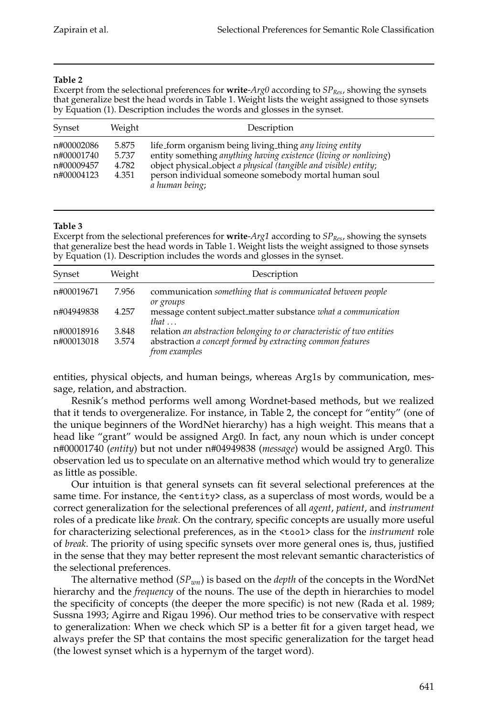Excerpt from the selectional preferences for **write**-*Arg0* according to *SP<sub>Res</sub>*, showing the synsets that generalize best the head words in Table 1. Weight lists the weight assigned to those synsets by Equation (1). Description includes the words and glosses in the synset.

| Synset                                               | Weight                           | Description                                                                                                                                                                                                                                                               |
|------------------------------------------------------|----------------------------------|---------------------------------------------------------------------------------------------------------------------------------------------------------------------------------------------------------------------------------------------------------------------------|
| n#00002086<br>n#00001740<br>n#00009457<br>n#00004123 | 5.875<br>5.737<br>4.782<br>4.351 | life_form organism being living_thing any living entity<br>entity something anything having existence (living or nonliving)<br>object physical_object a physical (tangible and visible) entity;<br>person individual someone somebody mortal human soul<br>a human being; |

#### **Table 3**

Excerpt from the selectional preferences for **write**-*Arg1* according to *SP<sub>Res</sub>*, showing the synsets that generalize best the head words in Table 1. Weight lists the weight assigned to those synsets by Equation (1). Description includes the words and glosses in the synset.

| Synset                   | Weight         | Description                                                                                                                                           |
|--------------------------|----------------|-------------------------------------------------------------------------------------------------------------------------------------------------------|
| n#00019671               | 7.956          | communication something that is communicated between people<br>or groups                                                                              |
| n#04949838               | 4.257          | message content subject_matter substance what a communication<br>that $\ldots$                                                                        |
| n#00018916<br>n#00013018 | 3.848<br>3.574 | relation an abstraction belonging to or characteristic of two entities<br>abstraction a concept formed by extracting common features<br>from examples |

entities, physical objects, and human beings, whereas Arg1s by communication, message, relation, and abstraction.

Resnik's method performs well among Wordnet-based methods, but we realized that it tends to overgeneralize. For instance, in Table 2, the concept for "entity" (one of the unique beginners of the WordNet hierarchy) has a high weight. This means that a head like "grant" would be assigned Arg0. In fact, any noun which is under concept n#00001740 (*entity*) but not under n#04949838 (*message*) would be assigned Arg0. This observation led us to speculate on an alternative method which would try to generalize as little as possible.

Our intuition is that general synsets can fit several selectional preferences at the same time. For instance, the <entity> class, as a superclass of most words, would be a correct generalization for the selectional preferences of all *agent*, *patient*, and *instrument* roles of a predicate like *break*. On the contrary, specific concepts are usually more useful for characterizing selectional preferences, as in the <tool> class for the *instrument* role of *break*. The priority of using specific synsets over more general ones is, thus, justified in the sense that they may better represent the most relevant semantic characteristics of the selectional preferences.

The alternative method (*SPwn*) is based on the *depth* of the concepts in the WordNet hierarchy and the *frequency* of the nouns. The use of the depth in hierarchies to model the specificity of concepts (the deeper the more specific) is not new (Rada et al. 1989; Sussna 1993; Agirre and Rigau 1996). Our method tries to be conservative with respect to generalization: When we check which SP is a better fit for a given target head, we always prefer the SP that contains the most specific generalization for the target head (the lowest synset which is a hypernym of the target word).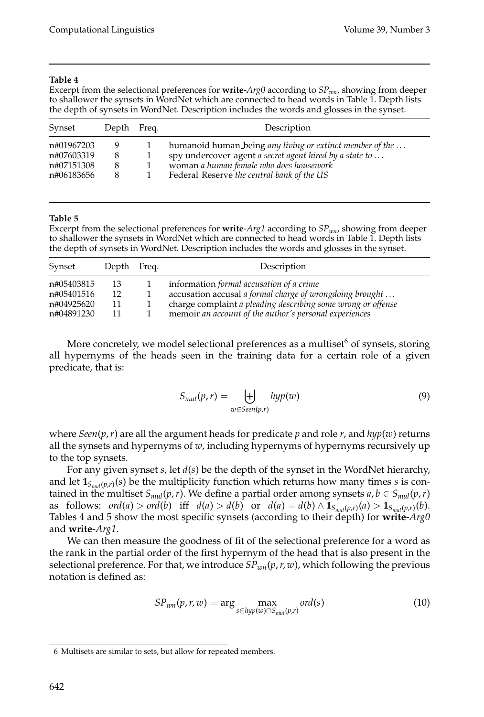Excerpt from the selectional preferences for **write**-*Arg0* according to *SPwn*, showing from deeper to shallower the synsets in WordNet which are connected to head words in Table 1. Depth lists the depth of synsets in WordNet. Description includes the words and glosses in the synset.

| Synset                                 | Depth Freq.  | Description                                                                                                                                                    |
|----------------------------------------|--------------|----------------------------------------------------------------------------------------------------------------------------------------------------------------|
| n#01967203<br>n#07603319<br>n#07151308 | Y)<br>8<br>8 | humanoid human_being any living or extinct member of the<br>spy undercover_agent a secret agent hired by a state to<br>woman a human female who does housework |
| n#06183656                             | 8            | Federal_Reserve the central bank of the US                                                                                                                     |

#### **Table 5**

Excerpt from the selectional preferences for **write**-*Arg1* according to *SPwn*, showing from deeper to shallower the synsets in WordNet which are connected to head words in Table 1. Depth lists the depth of synsets in WordNet. Description includes the words and glosses in the synset.

| Synset     | Depth Freq. | Description                                                  |
|------------|-------------|--------------------------------------------------------------|
| n#05403815 | 13          | information formal accusation of a crime                     |
| n#05401516 | 12          | accusation accusal a formal charge of wrongdoing brought     |
| n#04925620 | 11          | charge complaint a pleading describing some wrong or offense |
| n#04891230 | 11          | memoir an account of the author's personal experiences       |

More concretely, we model selectional preferences as a multiset<sup>6</sup> of synsets, storing all hypernyms of the heads seen in the training data for a certain role of a given predicate, that is:

$$
S_{mul}(p,r) = \biguplus_{w \in \text{Seen}(p,r)} \text{hyp}(w) \tag{9}
$$

where *Seen*( $p$ , $r$ ) are all the argument heads for predicate  $p$  and role  $r$ , and  $hyp(w)$  returns all the synsets and hypernyms of *w*, including hypernyms of hypernyms recursively up to the top synsets.

For any given synset *s*, let *d*(*s*) be the depth of the synset in the WordNet hierarchy, and let  $\mathbf{1}_{S_{mnl}(p,r)}(s)$  be the multiplicity function which returns how many times *s* is contained in the multiset  $S_{mul}(p, r)$ . We define a partial order among synsets  $a, b \in S_{mul}(p, r)$ as follows:  $ord(a) > ord(b)$  iff  $d(a) > d(b)$  or  $d(a) = d(b) \wedge \mathbf{1}_{S_{mul}(p,r)}(a) > \mathbf{1}_{S_{mul}(p,r)}(b)$ . Tables 4 and 5 show the most specific synsets (according to their depth) for **write**-*Arg0* and **write**-*Arg1*.

We can then measure the goodness of fit of the selectional preference for a word as the rank in the partial order of the first hypernym of the head that is also present in the selectional preference. For that, we introduce  $SP_{wn}(p, r, w)$ , which following the previous notation is defined as:

$$
SP_{wn}(p,r,w) = \arg\max_{s \in hyp(w) \cap S_{mul}(p,r)} ord(s)
$$
\n(10)

<sup>6</sup> Multisets are similar to sets, but allow for repeated members.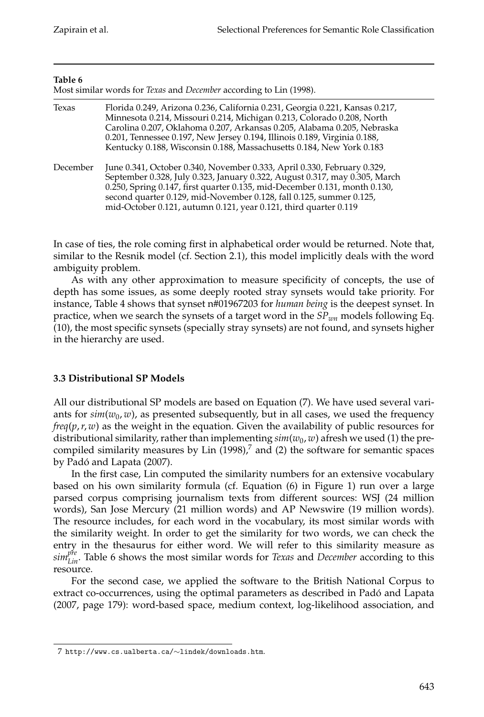| Table 6  | Most similar words for Texas and December according to Lin (1998).                                                                                                                                                                                                                                                                                                                     |
|----------|----------------------------------------------------------------------------------------------------------------------------------------------------------------------------------------------------------------------------------------------------------------------------------------------------------------------------------------------------------------------------------------|
| Texas    | Florida 0.249, Arizona 0.236, California 0.231, Georgia 0.221, Kansas 0.217,<br>Minnesota 0.214, Missouri 0.214, Michigan 0.213, Colorado 0.208, North<br>Carolina 0.207, Oklahoma 0.207, Arkansas 0.205, Alabama 0.205, Nebraska<br>0.201, Tennessee 0.197, New Jersey 0.194, Illinois 0.189, Virginia 0.188,<br>Kentucky 0.188, Wisconsin 0.188, Massachusetts 0.184, New York 0.183 |
| December | June 0.341, October 0.340, November 0.333, April 0.330, February 0.329,<br>September 0.328, July 0.323, January 0.322, August 0.317, may 0.305, March<br>0.250, Spring 0.147, first quarter 0.135, mid-December 0.131, month 0.130,<br>second quarter 0.129, mid-November 0.128, fall 0.125, summer 0.125,<br>mid-October 0.121, autumn 0.121, year 0.121, third quarter 0.119         |

In case of ties, the role coming first in alphabetical order would be returned. Note that, similar to the Resnik model (cf. Section 2.1), this model implicitly deals with the word ambiguity problem.

As with any other approximation to measure specificity of concepts, the use of depth has some issues, as some deeply rooted stray synsets would take priority. For instance, Table 4 shows that synset n#01967203 for *human being* is the deepest synset. In practice, when we search the synsets of a target word in the *SPwn* models following Eq. (10), the most specific synsets (specially stray synsets) are not found, and synsets higher in the hierarchy are used.

# **3.3 Distributional SP Models**

All our distributional SP models are based on Equation (7). We have used several variants for  $\sin(w_0, w)$ , as presented subsequently, but in all cases, we used the frequency *freq*(*p*,*r*, *w*) as the weight in the equation. Given the availability of public resources for distributional similarity, rather than implementing  $\sin(w_0, w)$  afresh we used (1) the precompiled similarity measures by Lin  $(1998)<sup>7</sup>$  and  $(2)$  the software for semantic spaces by Padó and Lapata (2007).

In the first case, Lin computed the similarity numbers for an extensive vocabulary based on his own similarity formula (cf. Equation (6) in Figure 1) run over a large parsed corpus comprising journalism texts from different sources: WSJ (24 million words), San Jose Mercury (21 million words) and AP Newswire (19 million words). The resource includes, for each word in the vocabulary, its most similar words with the similarity weight. In order to get the similarity for two words, we can check the entry in the thesaurus for either word. We will refer to this similarity measure as *simpre Lin*. Table 6 shows the most similar words for *Texas* and *December* according to this resource.

For the second case, we applied the software to the British National Corpus to extract co-occurrences, using the optimal parameters as described in Pado and Lapata ´ (2007, page 179): word-based space, medium context, log-likelihood association, and

<sup>7</sup> http://www.cs.ualberta.ca/∼lindek/downloads.htm.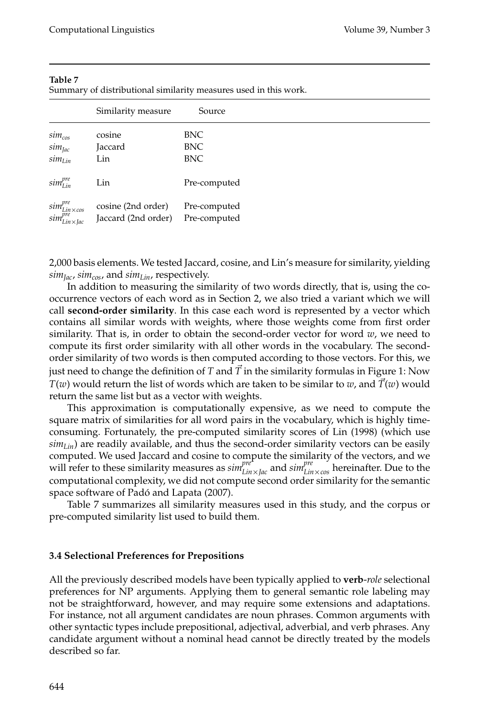|                                                            | Similarity measure                        | Source                       |
|------------------------------------------------------------|-------------------------------------------|------------------------------|
| $sim_{cos}$                                                | cosine                                    | <b>BNC</b>                   |
| $sim_{Jac}$                                                | Jaccard                                   | <b>BNC</b>                   |
| $sim_{Lin}$                                                | Lin                                       | <b>BNC</b>                   |
| $sim^{pre}_{lin}$                                          | Lin                                       | Pre-computed                 |
| $sim^{pre}_{Lin\times cos}$<br>$sim^{pre}_{Lin\times Jac}$ | cosine (2nd order)<br>Jaccard (2nd order) | Pre-computed<br>Pre-computed |

Summary of distributional similarity measures used in this work.

2,000 basis elements. We tested Jaccard, cosine, and Lin's measure for similarity, yielding  $sim_{Jac}$ ,  $sim_{cos}$ , and  $sim_{Lin}$ , respectively.

In addition to measuring the similarity of two words directly, that is, using the cooccurrence vectors of each word as in Section 2, we also tried a variant which we will call **second-order similarity**. In this case each word is represented by a vector which contains all similar words with weights, where those weights come from first order similarity. That is, in order to obtain the second-order vector for word *w*, we need to compute its first order similarity with all other words in the vocabulary. The secondorder similarity of two words is then computed according to those vectors. For this, we just need to change the definition of *T* and  $\overline{T}$  in the similarity formulas in Figure 1: Now *T*(*w*) would return the list of words which are taken to be similar to *w*, and  $\overline{T}(w)$  would return the same list but as a vector with weights.

This approximation is computationally expensive, as we need to compute the square matrix of similarities for all word pairs in the vocabulary, which is highly timeconsuming. Fortunately, the pre-computed similarity scores of Lin (1998) (which use  $sim_{Lin}$ ) are readily available, and thus the second-order similarity vectors can be easily computed. We used Jaccard and cosine to compute the similarity of the vectors, and we will refer to these similarity measures as  $\sin^{pre^*}_{\text{Lin} \times \text{Jac}}$  and  $\sin^{pre}_{\text{Lin} \times \text{cos}}$  hereinafter. Due to the computational complexity, we did not compute second order similarity for the semantic space software of Padó and Lapata (2007).

Table 7 summarizes all similarity measures used in this study, and the corpus or pre-computed similarity list used to build them.

#### **3.4 Selectional Preferences for Prepositions**

All the previously described models have been typically applied to **verb**-*role* selectional preferences for NP arguments. Applying them to general semantic role labeling may not be straightforward, however, and may require some extensions and adaptations. For instance, not all argument candidates are noun phrases. Common arguments with other syntactic types include prepositional, adjectival, adverbial, and verb phrases. Any candidate argument without a nominal head cannot be directly treated by the models described so far.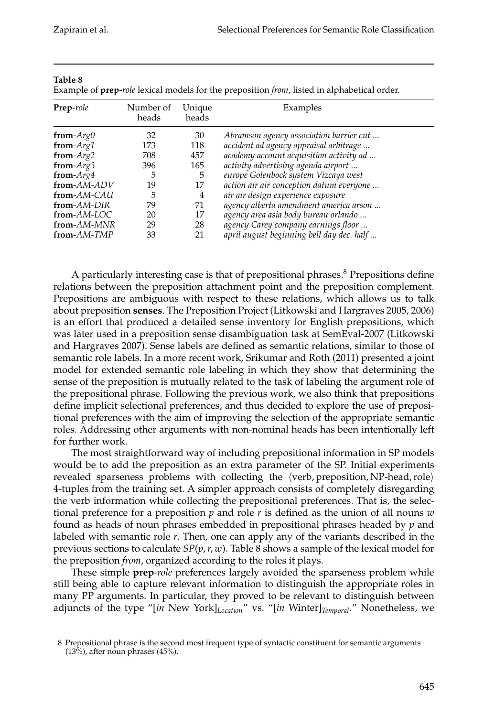| Example of prep- <i>fole</i> lexical models for the preposition <i>from</i> , ilsted in alphabetical order. |                    |                 |                                           |  |  |  |  |  |
|-------------------------------------------------------------------------------------------------------------|--------------------|-----------------|-------------------------------------------|--|--|--|--|--|
| <b>Prep-role</b>                                                                                            | Number of<br>heads | Unique<br>heads | Examples                                  |  |  |  |  |  |
| from- $Arg0$                                                                                                | 32                 | 30              | Abramson agency association barrier cut   |  |  |  |  |  |
| from- $Arg1$                                                                                                | 173                | 118             | accident ad agency appraisal arbitrage    |  |  |  |  |  |
| from- $Arg2$                                                                                                | 708                | 457             | academy account acquisition activity ad   |  |  |  |  |  |
| from- $Arg3$                                                                                                | 396                | 165             | activity advertising agenda airport       |  |  |  |  |  |
| from- $Arg4$                                                                                                | 5                  | 5               | europe Golenbock system Vizcaya west      |  |  |  |  |  |
| from-AM-ADV                                                                                                 | 19                 | 17              | action air air conception datum everyone  |  |  |  |  |  |
| from-AM-CAU                                                                                                 | 5                  | 4               | air air design experience exposure        |  |  |  |  |  |
| from-AM-DIR                                                                                                 | 79                 | 71              | agency alberta amendment america arson    |  |  |  |  |  |
| from-AM-LOC                                                                                                 | 20                 | 17              | agency area asia body bureau orlando      |  |  |  |  |  |
| from-AM-MNR                                                                                                 | 29                 | 28              | agency Carey company earnings floor       |  |  |  |  |  |
| from-AM-TMP                                                                                                 | 33                 | 21              | april august beginning bell day dec. half |  |  |  |  |  |

Example of **prep**-*role* lexical models for the preposition *from*, listed in alphabetical order.

A particularly interesting case is that of prepositional phrases. $8$  Prepositions define relations between the preposition attachment point and the preposition complement. Prepositions are ambiguous with respect to these relations, which allows us to talk about preposition **senses**. The Preposition Project (Litkowski and Hargraves 2005, 2006) is an effort that produced a detailed sense inventory for English prepositions, which was later used in a preposition sense disambiguation task at SemEval-2007 (Litkowski and Hargraves 2007). Sense labels are defined as semantic relations, similar to those of semantic role labels. In a more recent work, Srikumar and Roth (2011) presented a joint model for extended semantic role labeling in which they show that determining the sense of the preposition is mutually related to the task of labeling the argument role of the prepositional phrase. Following the previous work, we also think that prepositions define implicit selectional preferences, and thus decided to explore the use of prepositional preferences with the aim of improving the selection of the appropriate semantic roles. Addressing other arguments with non-nominal heads has been intentionally left for further work.

The most straightforward way of including prepositional information in SP models would be to add the preposition as an extra parameter of the SP. Initial experiments revealed sparseness problems with collecting the  $\langle$ verb, preposition, NP-head, role $\rangle$ 4-tuples from the training set. A simpler approach consists of completely disregarding the verb information while collecting the prepositional preferences. That is, the selectional preference for a preposition *p* and role *r* is defined as the union of all nouns *w* found as heads of noun phrases embedded in prepositional phrases headed by *p* and labeled with semantic role *r*. Then, one can apply any of the variants described in the previous sections to calculate *SP*(*p*,*r*, *w*). Table 8 shows a sample of the lexical model for the preposition *from*, organized according to the roles it plays.

These simple **prep**-*role* preferences largely avoided the sparseness problem while still being able to capture relevant information to distinguish the appropriate roles in many PP arguments. In particular, they proved to be relevant to distinguish between adjuncts of the type "[*in* New York]*Location*" vs. "[*in* Winter]*Temporal*." Nonetheless, we

<sup>8</sup> Prepositional phrase is the second most frequent type of syntactic constituent for semantic arguments (13%), after noun phrases (45%).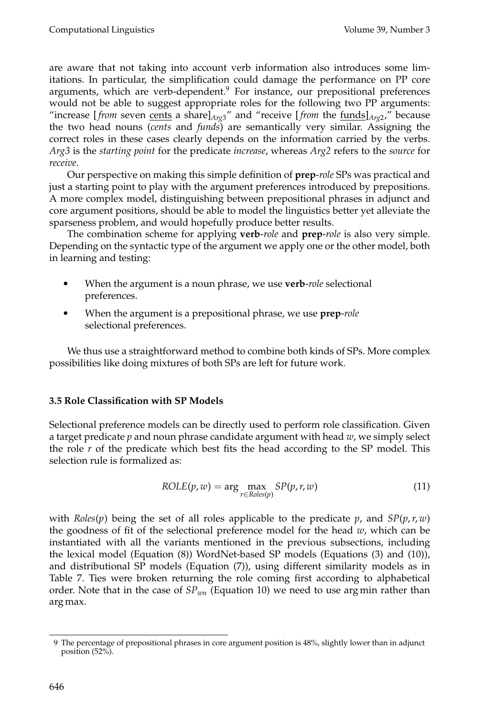are aware that not taking into account verb information also introduces some limitations. In particular, the simplification could damage the performance on PP core arguments, which are verb-dependent.9 For instance, our prepositional preferences would not be able to suggest appropriate roles for the following two PP arguments: "increase [*from* seven cents a share] $A_{rg3}$ " and "receive [*from* the  $\frac{\text{funds}}{A_{rg2}}$ ," because the two head nouns (*cents* and *funds*) are semantically very similar. Assigning the correct roles in these cases clearly depends on the information carried by the verbs. *Arg3* is the *starting point* for the predicate *increase*, whereas *Arg2* refers to the *source* for *receive*.

Our perspective on making this simple definition of **prep**-*role* SPs was practical and just a starting point to play with the argument preferences introduced by prepositions. A more complex model, distinguishing between prepositional phrases in adjunct and core argument positions, should be able to model the linguistics better yet alleviate the sparseness problem, and would hopefully produce better results.

The combination scheme for applying **verb**-*role* and **prep**-*role* is also very simple. Depending on the syntactic type of the argument we apply one or the other model, both in learning and testing:

- When the argument is a noun phrase, we use **verb**-*role* selectional preferences.
- When the argument is a prepositional phrase, we use **prep**-*role* selectional preferences.

We thus use a straightforward method to combine both kinds of SPs. More complex possibilities like doing mixtures of both SPs are left for future work.

# **3.5 Role Classification with SP Models**

Selectional preference models can be directly used to perform role classification. Given a target predicate *p* and noun phrase candidate argument with head *w*, we simply select the role *r* of the predicate which best fits the head according to the SP model. This selection rule is formalized as:

$$
ROLE(p, w) = \arg \max_{r \in Roles(p)} SP(p, r, w)
$$
\n(11)

with *Roles*(*p*) being the set of all roles applicable to the predicate *p*, and  $SP(p, r, w)$ the goodness of fit of the selectional preference model for the head *w*, which can be instantiated with all the variants mentioned in the previous subsections, including the lexical model (Equation (8)) WordNet-based SP models (Equations (3) and (10)), and distributional SP models (Equation (7)), using different similarity models as in Table 7. Ties were broken returning the role coming first according to alphabetical order. Note that in the case of *SPwn* (Equation 10) we need to use arg min rather than arg max.

<sup>9</sup> The percentage of prepositional phrases in core argument position is 48%, slightly lower than in adjunct position (52%).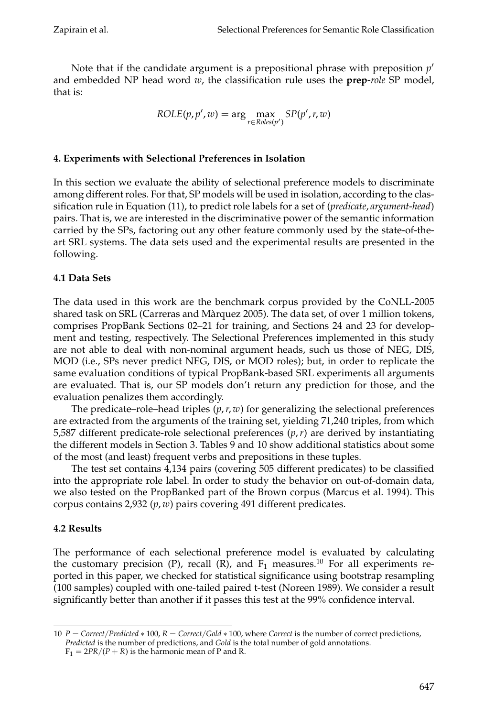Note that if the candidate argument is a prepositional phrase with preposition *p* and embedded NP head word *w*, the classification rule uses the **prep**-*role* SP model, that is:

$$
ROLE(p, p', w) = \arg \max_{r \in Roles(p')} SP(p', r, w)
$$

# **4. Experiments with Selectional Preferences in Isolation**

In this section we evaluate the ability of selectional preference models to discriminate among different roles. For that, SP models will be used in isolation, according to the classification rule in Equation (11), to predict role labels for a set of (*predicate*, *argument*-*head*) pairs. That is, we are interested in the discriminative power of the semantic information carried by the SPs, factoring out any other feature commonly used by the state-of-theart SRL systems. The data sets used and the experimental results are presented in the following.

# **4.1 Data Sets**

The data used in this work are the benchmark corpus provided by the CoNLL-2005 shared task on SRL (Carreras and Marquez 2005). The data set, of over 1 million tokens, ` comprises PropBank Sections 02–21 for training, and Sections 24 and 23 for development and testing, respectively. The Selectional Preferences implemented in this study are not able to deal with non-nominal argument heads, such us those of NEG, DIS, MOD (i.e., SPs never predict NEG, DIS, or MOD roles); but, in order to replicate the same evaluation conditions of typical PropBank-based SRL experiments all arguments are evaluated. That is, our SP models don't return any prediction for those, and the evaluation penalizes them accordingly.

The predicate–role–head triples (*p*,*r*, *w*) for generalizing the selectional preferences are extracted from the arguments of the training set, yielding 71,240 triples, from which 5,587 different predicate-role selectional preferences (*p*,*r*) are derived by instantiating the different models in Section 3. Tables 9 and 10 show additional statistics about some of the most (and least) frequent verbs and prepositions in these tuples.

The test set contains 4,134 pairs (covering 505 different predicates) to be classified into the appropriate role label. In order to study the behavior on out-of-domain data, we also tested on the PropBanked part of the Brown corpus (Marcus et al. 1994). This corpus contains 2,932 (*p*, *w*) pairs covering 491 different predicates.

# **4.2 Results**

The performance of each selectional preference model is evaluated by calculating the customary precision (P), recall (R), and  $F_1$  measures.<sup>10</sup> For all experiments reported in this paper, we checked for statistical significance using bootstrap resampling (100 samples) coupled with one-tailed paired t-test (Noreen 1989). We consider a result significantly better than another if it passes this test at the 99% confidence interval.

<sup>10</sup> *P* = *Correct*/*Predicted* ∗ 100, *R* = *Correct*/*Gold* ∗ 100, where *Correct* is the number of correct predictions, *Predicted* is the number of predictions, and *Gold* is the total number of gold annotations.

 $F_1 = 2PR/(P + R)$  is the harmonic mean of P and R.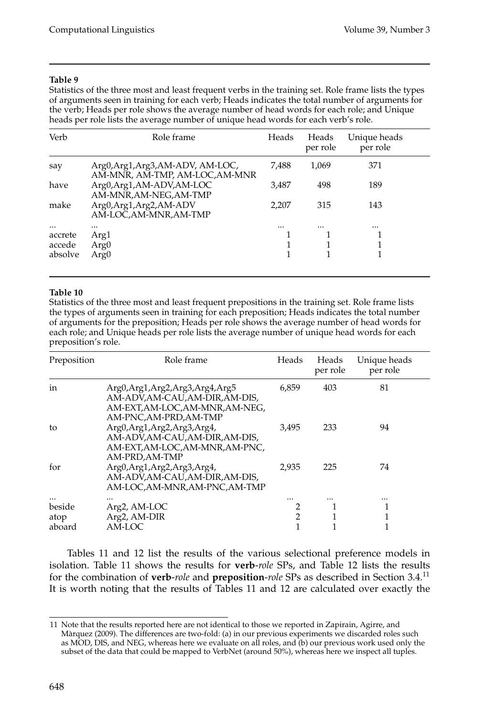Statistics of the three most and least frequent verbs in the training set. Role frame lists the types of arguments seen in training for each verb; Heads indicates the total number of arguments for the verb; Heads per role shows the average number of head words for each role; and Unique heads per role lists the average number of unique head words for each verb's role.

| Verb     | Role frame                                                          | Heads    | Heads<br>per role | Unique heads<br>per role |
|----------|---------------------------------------------------------------------|----------|-------------------|--------------------------|
| say      | Arg0, Arg1, Arg3, AM-ADV, AM-LOC,<br>AM-MNR, AM-TMP, AM-LOC, AM-MNR | 7,488    | 1,069             | 371                      |
| have     | Arg0,Arg1,AM-ADV,AM-LOC<br>AM-MNR, AM-NEG, AM-TMP                   | 3.487    | 498               | 189                      |
| make     | Arg0, Arg1, Arg2, AM-ADV<br>AM-LOC, AM-MNR, AM-TMP                  | 2.207    | 315               | 143                      |
| $\cdots$ |                                                                     | $\cdots$ |                   |                          |
| accrete  | Arg1                                                                |          |                   |                          |
| accede   | Arg <sub>0</sub>                                                    |          |                   |                          |
| absolve  | Arg <sub>0</sub>                                                    |          |                   |                          |

#### **Table 10**

Statistics of the three most and least frequent prepositions in the training set. Role frame lists the types of arguments seen in training for each preposition; Heads indicates the total number of arguments for the preposition; Heads per role shows the average number of head words for each role; and Unique heads per role lists the average number of unique head words for each preposition's role.

| Preposition | Role frame                                                                                                                 | Heads | Heads<br>per role | Unique heads<br>per role |
|-------------|----------------------------------------------------------------------------------------------------------------------------|-------|-------------------|--------------------------|
| in          | Arg0,Arg1,Arg2,Arg3,Arg4,Arg5<br>AM-ADV,AM-CAU,AM-DIR,AM-DIS,<br>AM-EXT, AM-LOC, AM-MNR, AM-NEG,<br>AM-PNC, AM-PRD, AM-TMP | 6.859 | 403               | 81                       |
| to          | Arg0, Arg1, Arg2, Arg3, Arg4,<br>AM-ADV,AM-CAU,AM-DIR,AM-DIS,<br>AM-EXT,AM-LOC,AM-MNR,AM-PNC,<br>AM-PRD, AM-TMP            | 3.495 | 233               | 94                       |
| for         | Arg0, Arg1, Arg2, Arg3, Arg4,<br>AM-ADV,AM-CAU,AM-DIR,AM-DIS,<br>AM-LOC, AM-MNR, AM-PNC, AM-TMP                            | 2.935 | 225               | 74                       |
|             |                                                                                                                            |       |                   |                          |
| beside      | Arg2, AM-LOC                                                                                                               |       |                   |                          |
| atop        | Arg2, AM-DIR                                                                                                               | 2     |                   |                          |
| aboard      | AM-LOC                                                                                                                     |       |                   |                          |

Tables 11 and 12 list the results of the various selectional preference models in isolation. Table 11 shows the results for **verb**-*role* SPs, and Table 12 lists the results for the combination of **verb**-*role* and **preposition**-*role* SPs as described in Section 3.4.<sup>11</sup> It is worth noting that the results of Tables 11 and 12 are calculated over exactly the

<sup>11</sup> Note that the results reported here are not identical to those we reported in Zapirain, Agirre, and Marquez (2009). The differences are two-fold: (a) in our previous experiments we discarded roles such ` as MOD, DIS, and NEG, whereas here we evaluate on all roles, and (b) our previous work used only the subset of the data that could be mapped to VerbNet (around 50%), whereas here we inspect all tuples.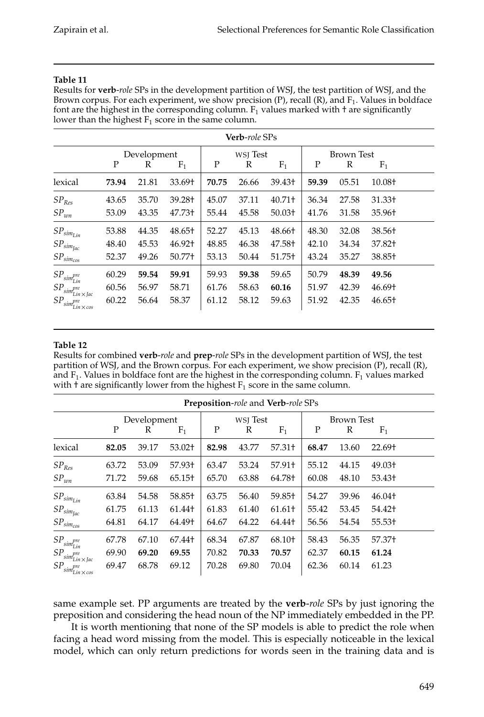Results for **verb**-*role* SPs in the development partition of WSJ, the test partition of WSJ, and the Brown corpus. For each experiment, we show precision (P), recall (R), and  $F_1$ . Values in boldface font are the highest in the corresponding column.  $F_1$  values marked with  $\dagger$  are significantly lower than the highest  $F_1$  score in the same column.

| <b>Verb-role SPs</b>                                 |       |             |        |          |       |                    |       |            |        |
|------------------------------------------------------|-------|-------------|--------|----------|-------|--------------------|-------|------------|--------|
|                                                      |       | Development |        | WSJ Test |       |                    |       | Brown Test |        |
|                                                      | P     | R           | $F_1$  | P        | R     | $F_1$              | P     | R          | $F_1$  |
| lexical                                              | 73.94 | 21.81       | 33.69+ | 70.75    | 26.66 | 39.43 <sup>+</sup> | 59.39 | 05.51      | 10.08+ |
| $SP_{Res}$                                           | 43.65 | 35.70       | 39.28+ | 45.07    | 37.11 | $40.71 +$          | 36.34 | 27.58      | 31.33+ |
| $SP_{wn}$                                            | 53.09 | 43.35       | 47.73+ | 55.44    | 45.58 | $50.03+$           | 41.76 | 31.58      | 35.96† |
| $SP_{sim_{Lin}}$                                     | 53.88 | 44.35       | 48.65+ | 52.27    | 45.13 | 48.66+             | 48.30 | 32.08      | 38.56+ |
| $SP_{sim_{Jac}}$                                     | 48.40 | 45.53       | 46.92† | 48.85    | 46.38 | 47.58†             | 42.10 | 34.34      | 37.82+ |
| $SP_{sim_{cos}}$                                     | 52.37 | 49.26       | 50.77+ | 53.13    | 50.44 | 51.75+             | 43.24 | 35.27      | 38.85+ |
| $SP_{\mathit{sim}_{\mathit{Lin}}^{\mathit{pre}}}$    | 60.29 | 59.54       | 59.91  | 59.93    | 59.38 | 59.65              | 50.79 | 48.39      | 49.56  |
| $SP_{\mathit{sim}_{\mathit{Lin}\times\mathit{Jac}}}$ | 60.56 | 56.97       | 58.71  | 61.76    | 58.63 | 60.16              | 51.97 | 42.39      | 46.69† |
| $SP_{sim_{Lin\times cos}^{pre}}$                     | 60.22 | 56.64       | 58.37  | 61.12    | 58.12 | 59.63              | 51.92 | 42.35      | 46.65+ |

# **Table 12**

Results for combined **verb**-*role* and **prep**-*role* SPs in the development partition of WSJ, the test partition of WSJ, and the Brown corpus. For each experiment, we show precision (P), recall (R), and  $F_1$ . Values in boldface font are the highest in the corresponding column.  $F_1$  values marked with  $\dagger$  are significantly lower from the highest  $F_1$  score in the same column.

| Preposition-role and Verb-role SPs                |       |             |        |       |          |                    |       |                   |                    |  |
|---------------------------------------------------|-------|-------------|--------|-------|----------|--------------------|-------|-------------------|--------------------|--|
|                                                   |       | Development |        |       | WSJ Test |                    |       | <b>Brown Test</b> |                    |  |
|                                                   | P     | R           | $F_1$  | Ρ     | R        | $F_1$              | P     | R                 | $F_1$              |  |
| lexical                                           | 82.05 | 39.17       | 53.02+ | 82.98 | 43.77    | 57.31 <sup>†</sup> | 68.47 | 13.60             | 22.69†             |  |
| $SP_{Res}$                                        | 63.72 | 53.09       | 57.93+ | 63.47 | 53.24    | 57.91+             | 55.12 | 44.15             | 49.03+             |  |
| $SP_{wn}$                                         | 71.72 | 59.68       | 65.15+ | 65.70 | 63.88    | 64.78†             | 60.08 | 48.10             | 53.43 <sup>+</sup> |  |
| $SP_{sim_{Lin}}$                                  | 63.84 | 54.58       | 58.85+ | 63.75 | 56.40    | 59.85+             | 54.27 | 39.96             | 46.04+             |  |
| $SP_{sim_{Jac}}$                                  | 61.75 | 61.13       | 61.44† | 61.83 | 61.40    | 61.61 <sup>†</sup> | 55.42 | 53.45             | 54.42+             |  |
| $SP_{sim_{cos}}$                                  | 64.81 | 64.17       | 64.49† | 64.67 | 64.22    | 64.44†             | 56.56 | 54.54             | 55.53+             |  |
| $SP_{\mathit{sim}_{\mathit{Lin}}^{\mathit{pre}}}$ | 67.78 | 67.10       | 67.44+ | 68.34 | 67.87    | 68.10+             | 58.43 | 56.35             | 57.37+             |  |
| $SP_{sim_{Lin\times Jac}^{pre}}$                  | 69.90 | 69.20       | 69.55  | 70.82 | 70.33    | 70.57              | 62.37 | 60.15             | 61.24              |  |
| $SP_{sim_{Lin\times cos}^{pre}}$                  | 69.47 | 68.78       | 69.12  | 70.28 | 69.80    | 70.04              | 62.36 | 60.14             | 61.23              |  |

same example set. PP arguments are treated by the **verb**-*role* SPs by just ignoring the preposition and considering the head noun of the NP immediately embedded in the PP.

It is worth mentioning that none of the SP models is able to predict the role when facing a head word missing from the model. This is especially noticeable in the lexical model, which can only return predictions for words seen in the training data and is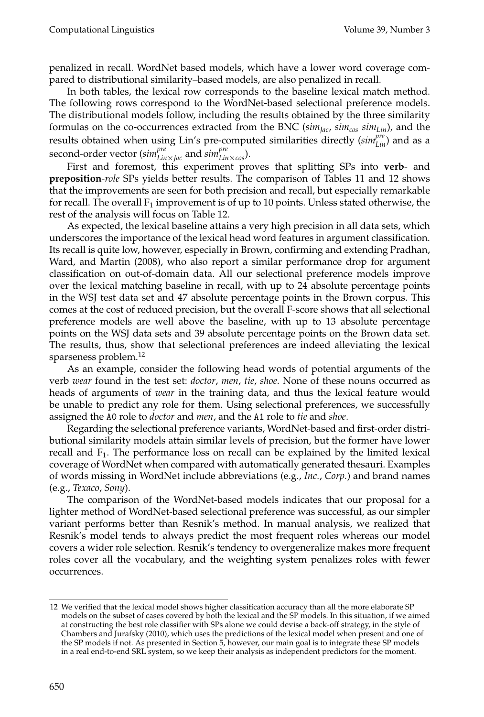penalized in recall. WordNet based models, which have a lower word coverage compared to distributional similarity–based models, are also penalized in recall.

In both tables, the lexical row corresponds to the baseline lexical match method. The following rows correspond to the WordNet-based selectional preference models. The distributional models follow, including the results obtained by the three similarity formulas on the co-occurrences extracted from the BNC (*simJac*, *simcos simLin*), and the results obtained when using Lin's pre-computed similarities directly ( $\textit{sim}_{\text{Lin}}^{\textit{pre}}$ ) and as a second-order vector (*simpre Lin*×*Jac* and *simpre Lin*×*cos*).

First and foremost, this experiment proves that splitting SPs into **verb**- and **preposition**-*role* SPs yields better results. The comparison of Tables 11 and 12 shows that the improvements are seen for both precision and recall, but especially remarkable for recall. The overall  $F_1$  improvement is of up to 10 points. Unless stated otherwise, the rest of the analysis will focus on Table 12.

As expected, the lexical baseline attains a very high precision in all data sets, which underscores the importance of the lexical head word features in argument classification. Its recall is quite low, however, especially in Brown, confirming and extending Pradhan, Ward, and Martin (2008), who also report a similar performance drop for argument classification on out-of-domain data. All our selectional preference models improve over the lexical matching baseline in recall, with up to 24 absolute percentage points in the WSJ test data set and 47 absolute percentage points in the Brown corpus. This comes at the cost of reduced precision, but the overall F-score shows that all selectional preference models are well above the baseline, with up to 13 absolute percentage points on the WSJ data sets and 39 absolute percentage points on the Brown data set. The results, thus, show that selectional preferences are indeed alleviating the lexical sparseness problem.<sup>12</sup>

As an example, consider the following head words of potential arguments of the verb *wear* found in the test set: *doctor*, *men*, *tie*, *shoe*. None of these nouns occurred as heads of arguments of *wear* in the training data, and thus the lexical feature would be unable to predict any role for them. Using selectional preferences, we successfully assigned the A0 role to *doctor* and *men*, and the A1 role to *tie* and *shoe*.

Regarding the selectional preference variants, WordNet-based and first-order distributional similarity models attain similar levels of precision, but the former have lower recall and  $F_1$ . The performance loss on recall can be explained by the limited lexical coverage of WordNet when compared with automatically generated thesauri. Examples of words missing in WordNet include abbreviations (e.g., *Inc.*, *Corp.*) and brand names (e.g., *Texaco*, *Sony*).

The comparison of the WordNet-based models indicates that our proposal for a lighter method of WordNet-based selectional preference was successful, as our simpler variant performs better than Resnik's method. In manual analysis, we realized that Resnik's model tends to always predict the most frequent roles whereas our model covers a wider role selection. Resnik's tendency to overgeneralize makes more frequent roles cover all the vocabulary, and the weighting system penalizes roles with fewer occurrences.

<sup>12</sup> We verified that the lexical model shows higher classification accuracy than all the more elaborate SP models on the subset of cases covered by both the lexical and the SP models. In this situation, if we aimed at constructing the best role classifier with SPs alone we could devise a back-off strategy, in the style of Chambers and Jurafsky (2010), which uses the predictions of the lexical model when present and one of the SP models if not. As presented in Section 5, however, our main goal is to integrate these SP models in a real end-to-end SRL system, so we keep their analysis as independent predictors for the moment.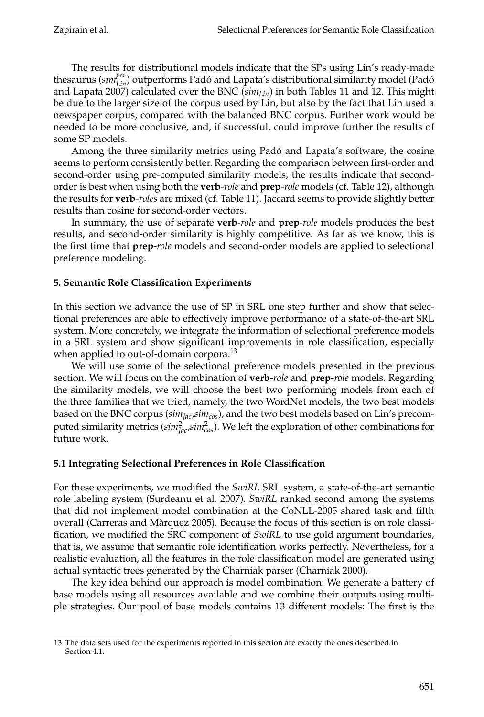The results for distributional models indicate that the SPs using Lin's ready-made thesaurus ( $\textit{sim}_{\textit{Lin}}^{\textit{pre}}$ ) outperforms Padó and Lapata's distributional similarity model (Padó and Lapata 2007) calculated over the BNC ( $\sin\theta_{lin}$ ) in both Tables 11 and 12. This might be due to the larger size of the corpus used by Lin, but also by the fact that Lin used a newspaper corpus, compared with the balanced BNC corpus. Further work would be needed to be more conclusive, and, if successful, could improve further the results of some SP models.

Among the three similarity metrics using Padó and Lapata's software, the cosine seems to perform consistently better. Regarding the comparison between first-order and second-order using pre-computed similarity models, the results indicate that secondorder is best when using both the **verb**-*role* and **prep**-*role* models (cf. Table 12), although the results for **verb**-*roles* are mixed (cf. Table 11). Jaccard seems to provide slightly better results than cosine for second-order vectors.

In summary, the use of separate **verb**-*role* and **prep**-*role* models produces the best results, and second-order similarity is highly competitive. As far as we know, this is the first time that **prep**-*role* models and second-order models are applied to selectional preference modeling.

# **5. Semantic Role Classification Experiments**

In this section we advance the use of SP in SRL one step further and show that selectional preferences are able to effectively improve performance of a state-of-the-art SRL system. More concretely, we integrate the information of selectional preference models in a SRL system and show significant improvements in role classification, especially when applied to out-of-domain corpora.<sup>13</sup>

We will use some of the selectional preference models presented in the previous section. We will focus on the combination of **verb**-*role* and **prep**-*role* models. Regarding the similarity models, we will choose the best two performing models from each of the three families that we tried, namely, the two WordNet models, the two best models based on the BNC corpus (*simJac*,*simcos*), and the two best models based on Lin's precomputed similarity metrics ( $\sin^2_{\text{jac}}\sin^2_{\text{cos}}$ ). We left the exploration of other combinations for future work.

# **5.1 Integrating Selectional Preferences in Role Classification**

For these experiments, we modified the *SwiRL* SRL system, a state-of-the-art semantic role labeling system (Surdeanu et al. 2007). *SwiRL* ranked second among the systems that did not implement model combination at the CoNLL-2005 shared task and fifth overall (Carreras and Marquez 2005). Because the focus of this section is on role classi- ` fication, we modified the SRC component of *SwiRL* to use gold argument boundaries, that is, we assume that semantic role identification works perfectly. Nevertheless, for a realistic evaluation, all the features in the role classification model are generated using actual syntactic trees generated by the Charniak parser (Charniak 2000).

The key idea behind our approach is model combination: We generate a battery of base models using all resources available and we combine their outputs using multiple strategies. Our pool of base models contains 13 different models: The first is the

<sup>13</sup> The data sets used for the experiments reported in this section are exactly the ones described in Section 4.1.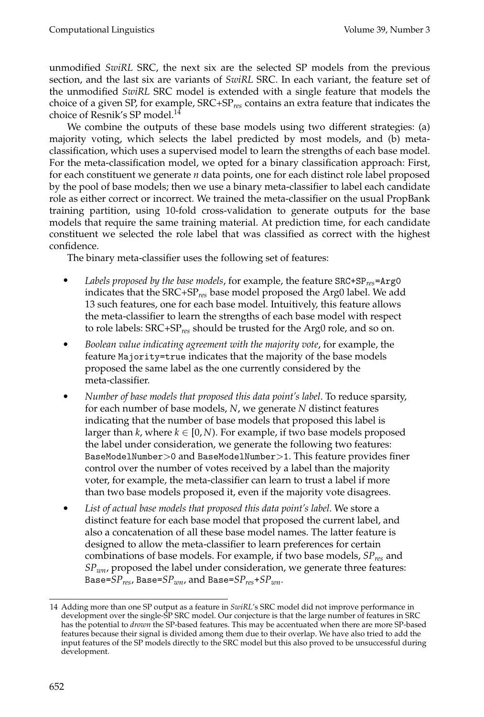unmodified *SwiRL* SRC, the next six are the selected SP models from the previous section, and the last six are variants of *SwiRL* SRC. In each variant, the feature set of the unmodified *SwiRL* SRC model is extended with a single feature that models the choice of a given SP, for example, SRC+SP*res* contains an extra feature that indicates the choice of Resnik's SP model.<sup>14</sup>

We combine the outputs of these base models using two different strategies: (a) majority voting, which selects the label predicted by most models, and (b) metaclassification, which uses a supervised model to learn the strengths of each base model. For the meta-classification model, we opted for a binary classification approach: First, for each constituent we generate *n* data points, one for each distinct role label proposed by the pool of base models; then we use a binary meta-classifier to label each candidate role as either correct or incorrect. We trained the meta-classifier on the usual PropBank training partition, using 10-fold cross-validation to generate outputs for the base models that require the same training material. At prediction time, for each candidate constituent we selected the role label that was classified as correct with the highest confidence.

The binary meta-classifier uses the following set of features:

- *Labels proposed by the base models*, for example, the feature SRC+SP*res*=Arg0 indicates that the SRC+SP*res* base model proposed the Arg0 label. We add 13 such features, one for each base model. Intuitively, this feature allows the meta-classifier to learn the strengths of each base model with respect to role labels: SRC+SP*res* should be trusted for the Arg0 role, and so on.
- *Boolean value indicating agreement with the majority vote*, for example, the feature Majority=true indicates that the majority of the base models proposed the same label as the one currently considered by the meta-classifier.
- *Number of base models that proposed this data point's label*. To reduce sparsity, for each number of base models, *N*, we generate *N* distinct features indicating that the number of base models that proposed this label is larger than  $k$ , where  $k \in [0, N)$ . For example, if two base models proposed the label under consideration, we generate the following two features: BaseModelNumber>0 and BaseModelNumber>1. This feature provides finer control over the number of votes received by a label than the majority voter, for example, the meta-classifier can learn to trust a label if more than two base models proposed it, even if the majority vote disagrees.
- *List of actual base models that proposed this data point's label*. We store a distinct feature for each base model that proposed the current label, and also a concatenation of all these base model names. The latter feature is designed to allow the meta-classifier to learn preferences for certain combinations of base models. For example, if two base models, *SPres* and *SPwn*, proposed the label under consideration, we generate three features: Base=*SPres*, Base=*SPwn*, and Base=*SPres*+*SPwn*.

<sup>14</sup> Adding more than one SP output as a feature in *SwiRL*'s SRC model did not improve performance in development over the single-SP SRC model. Our conjecture is that the large number of features in SRC has the potential to *drown* the SP-based features. This may be accentuated when there are more SP-based features because their signal is divided among them due to their overlap. We have also tried to add the input features of the SP models directly to the SRC model but this also proved to be unsuccessful during development.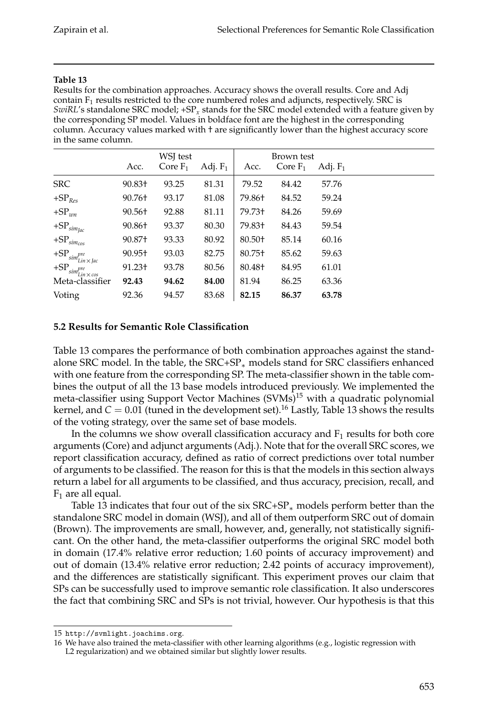Results for the combination approaches. Accuracy shows the overall results. Core and Adj contain  $F_1$  results restricted to the core numbered roles and adjuncts, respectively. SRC is *SwiRL*'s standalone SRC model; +SP*<sup>x</sup>* stands for the SRC model extended with a feature given by the corresponding SP model. Values in boldface font are the highest in the corresponding column. Accuracy values marked with † are significantly lower than the highest accuracy score in the same column.

|                                          |        | WSJ test   |            |                    | Brown test |            |
|------------------------------------------|--------|------------|------------|--------------------|------------|------------|
|                                          | Acc.   | Core $F_1$ | Adj. $F_1$ | Acc.               | Core $F_1$ | Adj. $F_1$ |
| <b>SRC</b>                               | 90.83+ | 93.25      | 81.31      | 79.52              | 84.42      | 57.76      |
| $+SPRes$                                 | 90.76+ | 93.17      | 81.08      | 79.86†             | 84.52      | 59.24      |
| $+SP_{wn}$                               | 90.56+ | 92.88      | 81.11      | 79.73+             | 84.26      | 59.69      |
| $+{\rm SP}_{sim_{Jac}}$                  | 90.86+ | 93.37      | 80.30      | 79.83+             | 84.43      | 59.54      |
| $+{\rm SP}_{sim_{cos}}$                  | 90.87+ | 93.33      | 80.92      | 80.50+             | 85.14      | 60.16      |
| $+{\rm SP}_{sim^{pre}_{Lin}\times{}Jac}$ | 90.95+ | 93.03      | 82.75      | 80.75+             | 85.62      | 59.63      |
| $+{\rm SP}_{sim^{pre}_{Lin}\times cos}$  | 91.23+ | 93.78      | 80.56      | 80.48 <sup>+</sup> | 84.95      | 61.01      |
| Meta-classifier                          | 92.43  | 94.62      | 84.00      | 81.94              | 86.25      | 63.36      |
| Voting                                   | 92.36  | 94.57      | 83.68      | 82.15              | 86.37      | 63.78      |

# **5.2 Results for Semantic Role Classification**

Table 13 compares the performance of both combination approaches against the standalone SRC model. In the table, the SRC+SP<sup>∗</sup> models stand for SRC classifiers enhanced with one feature from the corresponding SP. The meta-classifier shown in the table combines the output of all the 13 base models introduced previously. We implemented the meta-classifier using Support Vector Machines (SVMs)<sup>15</sup> with a quadratic polynomial kernel, and  $C = 0.01$  (tuned in the development set).<sup>16</sup> Lastly, Table 13 shows the results of the voting strategy, over the same set of base models.

In the columns we show overall classification accuracy and  $F_1$  results for both core arguments (Core) and adjunct arguments (Adj.). Note that for the overall SRC scores, we report classification accuracy, defined as ratio of correct predictions over total number of arguments to be classified. The reason for this is that the models in this section always return a label for all arguments to be classified, and thus accuracy, precision, recall, and  $F_1$  are all equal.

Table 13 indicates that four out of the six SRC+SP<sub>∗</sub> models perform better than the standalone SRC model in domain (WSJ), and all of them outperform SRC out of domain (Brown). The improvements are small, however, and, generally, not statistically significant. On the other hand, the meta-classifier outperforms the original SRC model both in domain (17.4% relative error reduction; 1.60 points of accuracy improvement) and out of domain (13.4% relative error reduction; 2.42 points of accuracy improvement), and the differences are statistically significant. This experiment proves our claim that SPs can be successfully used to improve semantic role classification. It also underscores the fact that combining SRC and SPs is not trivial, however. Our hypothesis is that this

<sup>15</sup> http://svmlight.joachims.org.

<sup>16</sup> We have also trained the meta-classifier with other learning algorithms (e.g., logistic regression with L2 regularization) and we obtained similar but slightly lower results.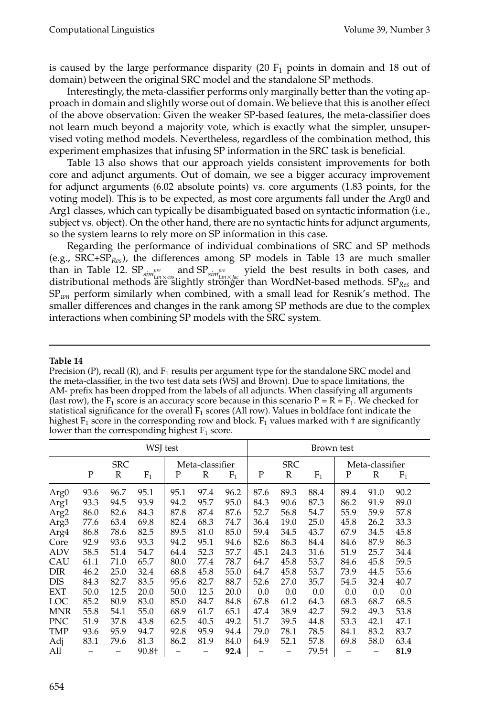is caused by the large performance disparity  $(20 F<sub>1</sub>$  points in domain and 18 out of domain) between the original SRC model and the standalone SP methods.

Interestingly, the meta-classifier performs only marginally better than the voting approach in domain and slightly worse out of domain. We believe that this is another effect of the above observation: Given the weaker SP-based features, the meta-classifier does not learn much beyond a majority vote, which is exactly what the simpler, unsupervised voting method models. Nevertheless, regardless of the combination method, this experiment emphasizes that infusing SP information in the SRC task is beneficial.

Table 13 also shows that our approach yields consistent improvements for both core and adjunct arguments. Out of domain, we see a bigger accuracy improvement for adjunct arguments (6.02 absolute points) vs. core arguments (1.83 points, for the voting model). This is to be expected, as most core arguments fall under the Arg0 and Arg1 classes, which can typically be disambiguated based on syntactic information (i.e., subject vs. object). On the other hand, there are no syntactic hints for adjunct arguments, so the system learns to rely more on SP information in this case.

Regarding the performance of individual combinations of SRC and SP methods (e.g., SRC+SP*Res*), the differences among SP models in Table 13 are much smaller than in Table 12. SP<sub>simpre</sub> and SP<sub>simpre</sub> yield the best results in both cases, and<br>distributional methods in the specializative stranger than WordNet based methods SP and distributional methods are slightly stronger than WordNet-based methods. SP*Res* and SP*wn* perform similarly when combined, with a small lead for Resnik's method. The smaller differences and changes in the rank among SP methods are due to the complex interactions when combining SP models with the SRC system.

#### **Table 14**

Precision (P), recall (R), and  $F_1$  results per argument type for the standalone SRC model and the meta-classifier, in the two test data sets (WSJ and Brown). Due to space limitations, the AM- prefix has been dropped from the labels of all adjuncts. When classifying all arguments (last row), the F<sub>1</sub> score is an accuracy score because in this scenario  $P = R = F_1$ . We checked for statistical significance for the overall  $F_1$  scores (All row). Values in boldface font indicate the highest  $F_1$  score in the corresponding row and block.  $F_1$  values marked with  $\dagger$  are significantly lower than the corresponding highest  $F_1$  score.

| WSJ test         |            |      |       |                 |             | Brown test |            |              |       |                 |             |       |
|------------------|------------|------|-------|-----------------|-------------|------------|------------|--------------|-------|-----------------|-------------|-------|
|                  | <b>SRC</b> |      |       | Meta-classifier |             |            | <b>SRC</b> |              |       | Meta-classifier |             |       |
|                  | P          | R    | $F_1$ | Ρ               | $\mathbb R$ | $F_1$      | ${\bf P}$  | $\mathbb{R}$ | $F_1$ | $\mathbf P$     | $\mathbb R$ | $F_1$ |
| Arg0             | 93.6       | 96.7 | 95.1  | 95.1            | 97.4        | 96.2       | 87.6       | 89.3         | 88.4  | 89.4            | 91.0        | 90.2  |
| Arg1             | 93.3       | 94.5 | 93.9  | 94.2            | 95.7        | 95.0       | 84.3       | 90.6         | 87.3  | 86.2            | 91.9        | 89.0  |
| Arg <sub>2</sub> | 86.0       | 82.6 | 84.3  | 87.8            | 87.4        | 87.6       | 52.7       | 56.8         | 54.7  | 55.9            | 59.9        | 57.8  |
| Arg <sub>3</sub> | 77.6       | 63.4 | 69.8  | 82.4            | 68.3        | 74.7       | 36.4       | 19.0         | 25.0  | 45.8            | 26.2        | 33.3  |
| Arg4             | 86.8       | 78.6 | 82.5  | 89.5            | 81.0        | 85.0       | 59.4       | 34.5         | 43.7  | 67.9            | 34.5        | 45.8  |
| Core             | 92.9       | 93.6 | 93.3  | 94.2            | 95.1        | 94.6       | 82.6       | 86.3         | 84.4  | 84.6            | 87.9        | 86.3  |
| <b>ADV</b>       | 58.5       | 51.4 | 54.7  | 64.4            | 52.3        | 57.7       | 45.1       | 24.3         | 31.6  | 51.9            | 25.7        | 34.4  |
| CAU              | 61.1       | 71.0 | 65.7  | 80.0            | 77.4        | 78.7       | 64.7       | 45.8         | 53.7  | 84.6            | 45.8        | 59.5  |
| DIR              | 46.2       | 25.0 | 32.4  | 68.8            | 45.8        | 55.0       | 64.7       | 45.8         | 53.7  | 73.9            | 44.5        | 55.6  |
| <b>DIS</b>       | 84.3       | 82.7 | 83.5  | 95.6            | 82.7        | 88.7       | 52.6       | 27.0         | 35.7  | 54.5            | 32.4        | 40.7  |
| <b>EXT</b>       | 50.0       | 12.5 | 20.0  | 50.0            | 12.5        | 20.0       | 0.0        | 0.0          | 0.0   | 0.0             | 0.0         | 0.0   |
| LOC              | 85.2       | 80.9 | 83.0  | 85.0            | 84.7        | 84.8       | 67.8       | 61.2         | 64.3  | 68.3            | 68.7        | 68.5  |
| <b>MNR</b>       | 55.8       | 54.1 | 55.0  | 68.9            | 61.7        | 65.1       | 47.4       | 38.9         | 42.7  | 59.2            | 49.3        | 53.8  |
| <b>PNC</b>       | 51.9       | 37.8 | 43.8  | 62.5            | 40.5        | 49.2       | 51.7       | 39.5         | 44.8  | 53.3            | 42.1        | 47.1  |
| <b>TMP</b>       | 93.6       | 95.9 | 94.7  | 92.8            | 95.9        | 94.4       | 79.0       | 78.1         | 78.5  | 84.1            | 83.2        | 83.7  |
| Adj              | 83.1       | 79.6 | 81.3  | 86.2            | 81.9        | 84.0       | 64.9       | 52.1         | 57.8  | 69.8            | 58.0        | 63.4  |
| All              |            |      | 90.8+ |                 |             | 92.4       |            |              | 79.5† |                 |             | 81.9  |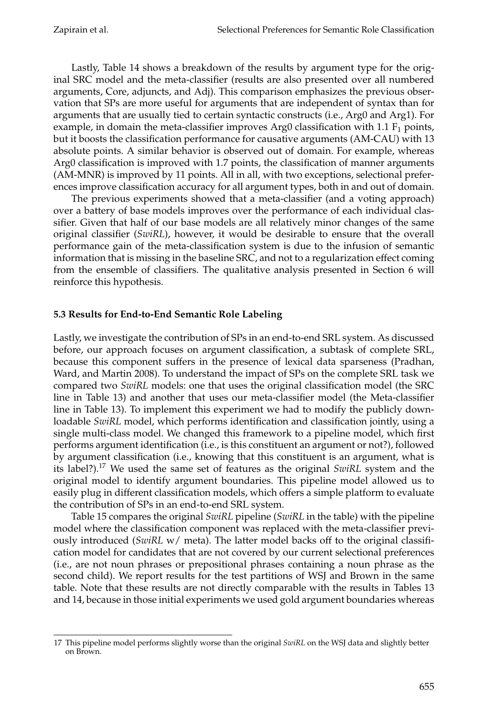Lastly, Table 14 shows a breakdown of the results by argument type for the original SRC model and the meta-classifier (results are also presented over all numbered arguments, Core, adjuncts, and Adj). This comparison emphasizes the previous observation that SPs are more useful for arguments that are independent of syntax than for arguments that are usually tied to certain syntactic constructs (i.e., Arg0 and Arg1). For example, in domain the meta-classifier improves Arg0 classification with 1.1  $F_1$  points, but it boosts the classification performance for causative arguments (AM-CAU) with 13 absolute points. A similar behavior is observed out of domain. For example, whereas Arg0 classification is improved with 1.7 points, the classification of manner arguments (AM-MNR) is improved by 11 points. All in all, with two exceptions, selectional preferences improve classification accuracy for all argument types, both in and out of domain.

The previous experiments showed that a meta-classifier (and a voting approach) over a battery of base models improves over the performance of each individual classifier. Given that half of our base models are all relatively minor changes of the same original classifier (*SwiRL*), however, it would be desirable to ensure that the overall performance gain of the meta-classification system is due to the infusion of semantic information that is missing in the baseline SRC, and not to a regularization effect coming from the ensemble of classifiers. The qualitative analysis presented in Section 6 will reinforce this hypothesis.

# **5.3 Results for End-to-End Semantic Role Labeling**

Lastly, we investigate the contribution of SPs in an end-to-end SRL system. As discussed before, our approach focuses on argument classification, a subtask of complete SRL, because this component suffers in the presence of lexical data sparseness (Pradhan, Ward, and Martin 2008). To understand the impact of SPs on the complete SRL task we compared two *SwiRL* models: one that uses the original classification model (the SRC line in Table 13) and another that uses our meta-classifier model (the Meta-classifier line in Table 13). To implement this experiment we had to modify the publicly downloadable *SwiRL* model, which performs identification and classification jointly, using a single multi-class model. We changed this framework to a pipeline model, which first performs argument identification (i.e., is this constituent an argument or not?), followed by argument classification (i.e., knowing that this constituent is an argument, what is its label?).17 We used the same set of features as the original *SwiRL* system and the original model to identify argument boundaries. This pipeline model allowed us to easily plug in different classification models, which offers a simple platform to evaluate the contribution of SPs in an end-to-end SRL system.

Table 15 compares the original *SwiRL* pipeline (*SwiRL* in the table) with the pipeline model where the classification component was replaced with the meta-classifier previously introduced (*SwiRL* w/ meta). The latter model backs off to the original classification model for candidates that are not covered by our current selectional preferences (i.e., are not noun phrases or prepositional phrases containing a noun phrase as the second child). We report results for the test partitions of WSJ and Brown in the same table. Note that these results are not directly comparable with the results in Tables 13 and 14, because in those initial experiments we used gold argument boundaries whereas

<sup>17</sup> This pipeline model performs slightly worse than the original *SwiRL* on the WSJ data and slightly better on Brown.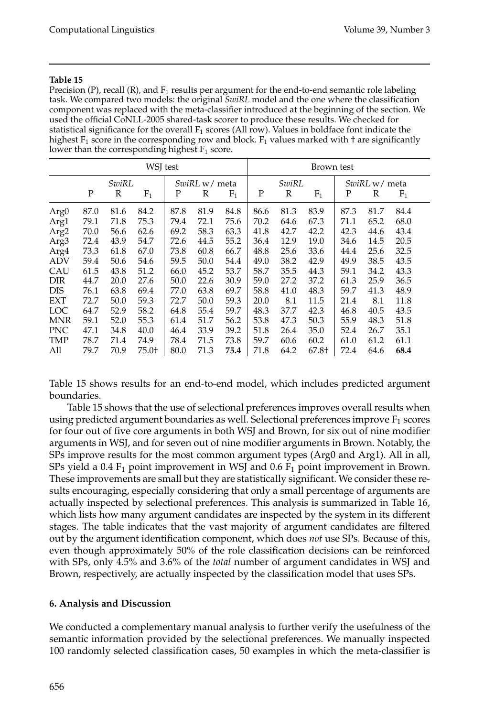Precision (P), recall (R), and  $F_1$  results per argument for the end-to-end semantic role labeling task. We compared two models: the original *SwiRL* model and the one where the classification component was replaced with the meta-classifier introduced at the beginning of the section. We used the official CoNLL-2005 shared-task scorer to produce these results. We checked for statistical significance for the overall  $F_1$  scores (All row). Values in boldface font indicate the highest  $F_1$  score in the corresponding row and block.  $F_1$  values marked with  $\dagger$  are significantly lower than the corresponding highest  $F_1$  score.

| WSJ test         |      |      |         |               |      | Brown test |       |      |         |               |      |       |
|------------------|------|------|---------|---------------|------|------------|-------|------|---------|---------------|------|-------|
| SwiRL            |      |      |         | SwiRL w/ meta |      |            | SwiRL |      |         | SwiRL w/ meta |      |       |
|                  | P    | R    | $F_1$   | Ρ             | R    | $F_1$      | P     | R    | $F_1$   | P             | R    | $F_1$ |
| Arg <sub>0</sub> | 87.0 | 81.6 | 84.2    | 87.8          | 81.9 | 84.8       | 86.6  | 81.3 | 83.9    | 87.3          | 81.7 | 84.4  |
| Arg1             | 79.1 | 71.8 | 75.3    | 79.4          | 72.1 | 75.6       | 70.2  | 64.6 | 67.3    | 71.1          | 65.2 | 68.0  |
| Arg <sub>2</sub> | 70.0 | 56.6 | 62.6    | 69.2          | 58.3 | 63.3       | 41.8  | 42.7 | 42.2    | 42.3          | 44.6 | 43.4  |
| Arg3             | 72.4 | 43.9 | 54.7    | 72.6          | 44.5 | 55.2       | 36.4  | 12.9 | 19.0    | 34.6          | 14.5 | 20.5  |
| Arg4             | 73.3 | 61.8 | 67.0    | 73.8          | 60.8 | 66.7       | 48.8  | 25.6 | 33.6    | 44.4          | 25.6 | 32.5  |
| <b>ADV</b>       | 59.4 | 50.6 | 54.6    | 59.5          | 50.0 | 54.4       | 49.0  | 38.2 | 42.9    | 49.9          | 38.5 | 43.5  |
| CAU              | 61.5 | 43.8 | 51.2    | 66.0          | 45.2 | 53.7       | 58.7  | 35.5 | 44.3    | 59.1          | 34.2 | 43.3  |
| DIR              | 44.7 | 20.0 | 27.6    | 50.0          | 22.6 | 30.9       | 59.0  | 27.2 | 37.2    | 61.3          | 25.9 | 36.5  |
| <b>DIS</b>       | 76.1 | 63.8 | 69.4    | 77.0          | 63.8 | 69.7       | 58.8  | 41.0 | 48.3    | 59.7          | 41.3 | 48.9  |
| <b>EXT</b>       | 72.7 | 50.0 | 59.3    | 72.7          | 50.0 | 59.3       | 20.0  | 8.1  | 11.5    | 21.4          | 8.1  | 11.8  |
| <b>LOC</b>       | 64.7 | 52.9 | 58.2    | 64.8          | 55.4 | 59.7       | 48.3  | 37.7 | 42.3    | 46.8          | 40.5 | 43.5  |
| <b>MNR</b>       | 59.1 | 52.0 | 55.3    | 61.4          | 51.7 | 56.2       | 53.8  | 47.3 | 50.3    | 55.9          | 48.3 | 51.8  |
| <b>PNC</b>       | 47.1 | 34.8 | 40.0    | 46.4          | 33.9 | 39.2       | 51.8  | 26.4 | 35.0    | 52.4          | 26.7 | 35.1  |
| TMP              | 78.7 | 71.4 | 74.9    | 78.4          | 71.5 | 73.8       | 59.7  | 60.6 | 60.2    | 61.0          | 61.2 | 61.1  |
| All              | 79.7 | 70.9 | $75.0+$ | 80.0          | 71.3 | 75.4       | 71.8  | 64.2 | $67.8+$ | 72.4          | 64.6 | 68.4  |

Table 15 shows results for an end-to-end model, which includes predicted argument boundaries.

Table 15 shows that the use of selectional preferences improves overall results when using predicted argument boundaries as well. Selectional preferences improve  $F_1$  scores for four out of five core arguments in both WSJ and Brown, for six out of nine modifier arguments in WSJ, and for seven out of nine modifier arguments in Brown. Notably, the SPs improve results for the most common argument types (Arg0 and Arg1). All in all, SPs yield a 0.4  $F_1$  point improvement in WSJ and 0.6  $F_1$  point improvement in Brown. These improvements are small but they are statistically significant. We consider these results encouraging, especially considering that only a small percentage of arguments are actually inspected by selectional preferences. This analysis is summarized in Table 16, which lists how many argument candidates are inspected by the system in its different stages. The table indicates that the vast majority of argument candidates are filtered out by the argument identification component, which does *not* use SPs. Because of this, even though approximately 50% of the role classification decisions can be reinforced with SPs, only 4.5% and 3.6% of the *total* number of argument candidates in WSJ and Brown, respectively, are actually inspected by the classification model that uses SPs.

### **6. Analysis and Discussion**

We conducted a complementary manual analysis to further verify the usefulness of the semantic information provided by the selectional preferences. We manually inspected 100 randomly selected classification cases, 50 examples in which the meta-classifier is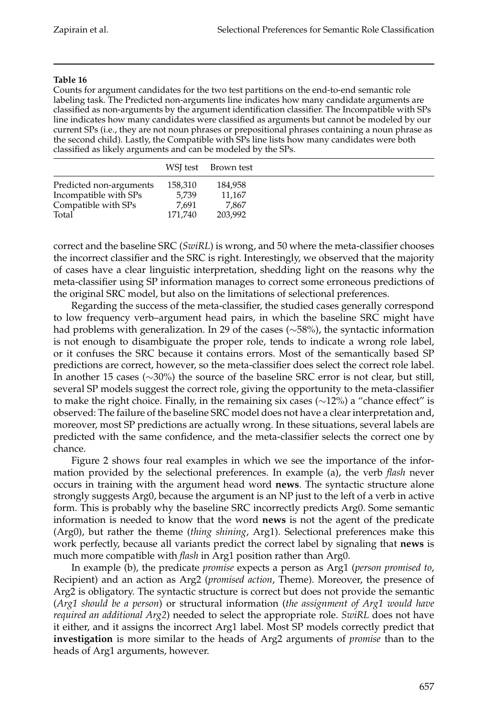Counts for argument candidates for the two test partitions on the end-to-end semantic role labeling task. The Predicted non-arguments line indicates how many candidate arguments are classified as non-arguments by the argument identification classifier. The Incompatible with SPs line indicates how many candidates were classified as arguments but cannot be modeled by our current SPs (i.e., they are not noun phrases or prepositional phrases containing a noun phrase as the second child). Lastly, the Compatible with SPs line lists how many candidates were both classified as likely arguments and can be modeled by the SPs.

|                         |         | WSI test Brown test |  |
|-------------------------|---------|---------------------|--|
| Predicted non-arguments | 158,310 | 184,958             |  |
| Incompatible with SPs   | 5.739   | 11.167              |  |
| Compatible with SPs     | 7.691   | 7.867               |  |
| Total                   | 171.740 | 203,992             |  |

correct and the baseline SRC (*SwiRL*) is wrong, and 50 where the meta-classifier chooses the incorrect classifier and the SRC is right. Interestingly, we observed that the majority of cases have a clear linguistic interpretation, shedding light on the reasons why the meta-classifier using SP information manages to correct some erroneous predictions of the original SRC model, but also on the limitations of selectional preferences.

Regarding the success of the meta-classifier, the studied cases generally correspond to low frequency verb–argument head pairs, in which the baseline SRC might have had problems with generalization. In 29 of the cases (∼58%), the syntactic information is not enough to disambiguate the proper role, tends to indicate a wrong role label, or it confuses the SRC because it contains errors. Most of the semantically based SP predictions are correct, however, so the meta-classifier does select the correct role label. In another 15 cases (∼30%) the source of the baseline SRC error is not clear, but still, several SP models suggest the correct role, giving the opportunity to the meta-classifier to make the right choice. Finally, in the remaining six cases (∼12%) a "chance effect" is observed: The failure of the baseline SRC model does not have a clear interpretation and, moreover, most SP predictions are actually wrong. In these situations, several labels are predicted with the same confidence, and the meta-classifier selects the correct one by chance.

Figure 2 shows four real examples in which we see the importance of the information provided by the selectional preferences. In example (a), the verb *flash* never occurs in training with the argument head word **news**. The syntactic structure alone strongly suggests Arg0, because the argument is an NP just to the left of a verb in active form. This is probably why the baseline SRC incorrectly predicts Arg0. Some semantic information is needed to know that the word **news** is not the agent of the predicate (Arg0), but rather the theme (*thing shining*, Arg1). Selectional preferences make this work perfectly, because all variants predict the correct label by signaling that **news** is much more compatible with *flash* in Arg1 position rather than Arg0.

In example (b), the predicate *promise* expects a person as Arg1 (*person promised to*, Recipient) and an action as Arg2 (*promised action*, Theme). Moreover, the presence of Arg2 is obligatory. The syntactic structure is correct but does not provide the semantic (*Arg1 should be a person*) or structural information (*the assignment of Arg1 would have required an additional Arg2*) needed to select the appropriate role. *SwiRL* does not have it either, and it assigns the incorrect Arg1 label. Most SP models correctly predict that **investigation** is more similar to the heads of Arg2 arguments of *promise* than to the heads of Arg1 arguments, however.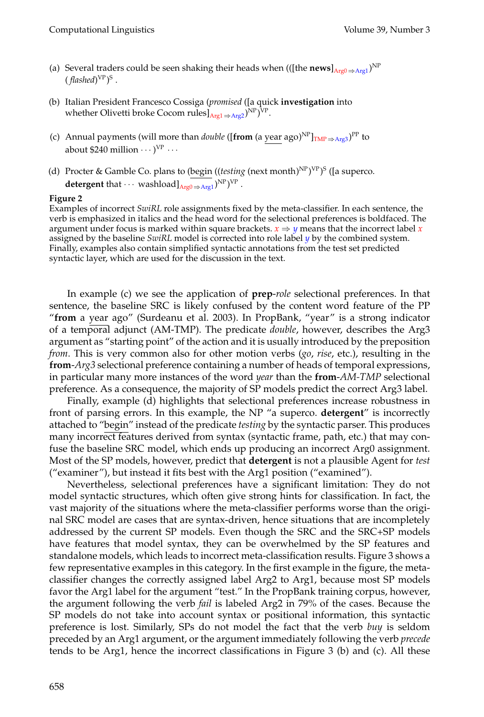- (a) Several traders could be seen shaking their heads when (([the **news**] $_{Arg0 \Rightarrow Arg1}$ )<sup>NP</sup>  $(\textit{flashed})^\text{VP}$ <sup>S</sup> .
- (b) Italian President Francesco Cossiga (*promised* ([a quick **investigation** into whether Olivetti broke Cocom rules]<sub>Arg1⇒Arg2</sub>)<sup>NP</sup>)<sup>VP</sup>.
- (c) Annual payments (will more than *double* ([from (a year ago)<sup>NP</sup>]<sub>TMP ⇒Arg3</sub>)<sup>PP</sup> to about \$240 million  $\cdots$ )<sup>VP</sup>  $\cdots$
- (d) Procter & Gamble Co. plans to (begin ((*testing* (next month)<sup>NP</sup>)<sup>VP</sup>)<sup>S</sup> ([a superco. **detergent** that  $\cdots$  washload] $_{\text{Arg0} \Rightarrow \text{Arg1}}$ <sup>NP</sup>)<sup>VP</sup>.

#### **Figure 2**

Examples of incorrect *SwiRL* role assignments fixed by the meta-classifier. In each sentence, the verb is emphasized in italics and the head word for the selectional preferences is boldfaced. The argument under focus is marked within square brackets.  $x \Rightarrow y$  means that the incorrect label *x* assigned by the baseline *SwiRL* model is corrected into role label *y* by the combined system. Finally, examples also contain simplified syntactic annotations from the test set predicted syntactic layer, which are used for the discussion in the text.

In example (c) we see the application of **prep**-*role* selectional preferences. In that sentence, the baseline SRC is likely confused by the content word feature of the PP "**from** a year ago" (Surdeanu et al. 2003). In PropBank, "year" is a strong indicator of a temporal adjunct (AM-TMP). The predicate *double*, however, describes the Arg3 argument as "starting point" of the action and it is usually introduced by the preposition *from*. This is very common also for other motion verbs (*go*, *rise*, etc.), resulting in the **from**-*Arg3* selectional preference containing a number of heads of temporal expressions, in particular many more instances of the word *year* than the **from**-*AM-TMP* selectional preference. As a consequence, the majority of SP models predict the correct Arg3 label.

Finally, example (d) highlights that selectional preferences increase robustness in front of parsing errors. In this example, the NP "a superco. **detergent**" is incorrectly attached to "begin" instead of the predicate *testing* by the syntactic parser. This produces many incorrect features derived from syntax (syntactic frame, path, etc.) that may confuse the baseline SRC model, which ends up producing an incorrect Arg0 assignment. Most of the SP models, however, predict that **detergent** is not a plausible Agent for *test* ("examiner"), but instead it fits best with the Arg1 position ("examined").

Nevertheless, selectional preferences have a significant limitation: They do not model syntactic structures, which often give strong hints for classification. In fact, the vast majority of the situations where the meta-classifier performs worse than the original SRC model are cases that are syntax-driven, hence situations that are incompletely addressed by the current SP models. Even though the SRC and the SRC+SP models have features that model syntax, they can be overwhelmed by the SP features and standalone models, which leads to incorrect meta-classification results. Figure 3 shows a few representative examples in this category. In the first example in the figure, the metaclassifier changes the correctly assigned label Arg2 to Arg1, because most SP models favor the Arg1 label for the argument "test." In the PropBank training corpus, however, the argument following the verb *fail* is labeled Arg2 in 79% of the cases. Because the SP models do not take into account syntax or positional information, this syntactic preference is lost. Similarly, SPs do not model the fact that the verb *buy* is seldom preceded by an Arg1 argument, or the argument immediately following the verb *precede* tends to be Arg1, hence the incorrect classifications in Figure 3 (b) and (c). All these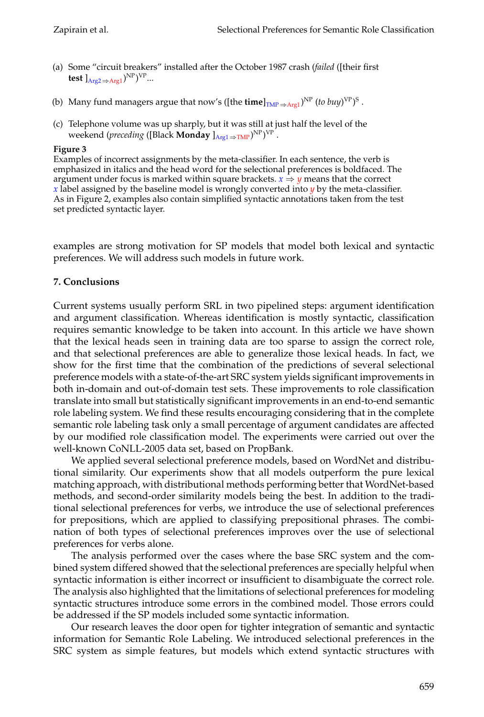- (a) Some "circuit breakers" installed after the October 1987 crash (*failed* ([their first test  $]_{\text{Arg2} \Rightarrow \text{Arg1}}$ )<sup>NP</sup>)<sup>VP</sup>...
- (b) Many fund managers argue that now's ([the **time**]<sub>TMP ⇒Arg1</sub>)<sup>NP</sup> (*to buy*)<sup>VP</sup>)<sup>S</sup>.
- (c) Telephone volume was up sharply, but it was still at just half the level of the weekend (*preceding* ([Black **Monday** ]<sub>Arg1⇒TMP</sub>)<sup>NP</sup>)<sup>VP</sup> .

### **Figure 3**

Examples of incorrect assignments by the meta-classifier. In each sentence, the verb is emphasized in italics and the head word for the selectional preferences is boldfaced. The argument under focus is marked within square brackets.  $x \Rightarrow y$  means that the correct *x* label assigned by the baseline model is wrongly converted into *y* by the meta-classifier. As in Figure 2, examples also contain simplified syntactic annotations taken from the test set predicted syntactic layer.

examples are strong motivation for SP models that model both lexical and syntactic preferences. We will address such models in future work.

# **7. Conclusions**

Current systems usually perform SRL in two pipelined steps: argument identification and argument classification. Whereas identification is mostly syntactic, classification requires semantic knowledge to be taken into account. In this article we have shown that the lexical heads seen in training data are too sparse to assign the correct role, and that selectional preferences are able to generalize those lexical heads. In fact, we show for the first time that the combination of the predictions of several selectional preference models with a state-of-the-art SRC system yields significant improvements in both in-domain and out-of-domain test sets. These improvements to role classification translate into small but statistically significant improvements in an end-to-end semantic role labeling system. We find these results encouraging considering that in the complete semantic role labeling task only a small percentage of argument candidates are affected by our modified role classification model. The experiments were carried out over the well-known CoNLL-2005 data set, based on PropBank.

We applied several selectional preference models, based on WordNet and distributional similarity. Our experiments show that all models outperform the pure lexical matching approach, with distributional methods performing better that WordNet-based methods, and second-order similarity models being the best. In addition to the traditional selectional preferences for verbs, we introduce the use of selectional preferences for prepositions, which are applied to classifying prepositional phrases. The combination of both types of selectional preferences improves over the use of selectional preferences for verbs alone.

The analysis performed over the cases where the base SRC system and the combined system differed showed that the selectional preferences are specially helpful when syntactic information is either incorrect or insufficient to disambiguate the correct role. The analysis also highlighted that the limitations of selectional preferences for modeling syntactic structures introduce some errors in the combined model. Those errors could be addressed if the SP models included some syntactic information.

Our research leaves the door open for tighter integration of semantic and syntactic information for Semantic Role Labeling. We introduced selectional preferences in the SRC system as simple features, but models which extend syntactic structures with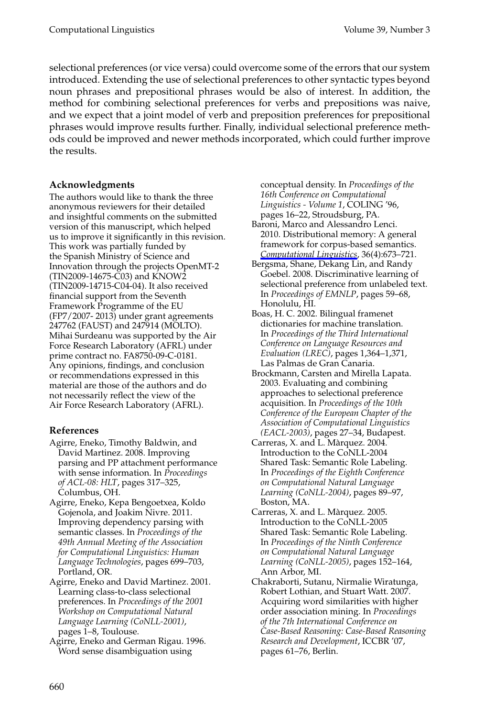#### Computational Linguistics Volume 39, Number 3

selectional preferences (or vice versa) could overcome some of the errors that our system introduced. Extending the use of selectional preferences to other syntactic types beyond noun phrases and prepositional phrases would be also of interest. In addition, the method for combining selectional preferences for verbs and prepositions was naive, and we expect that a joint model of verb and preposition preferences for prepositional phrases would improve results further. Finally, individual selectional preference methods could be improved and newer methods incorporated, which could further improve the results.

#### **Acknowledgments**

The authors would like to thank the three anonymous reviewers for their detailed and insightful comments on the submitted version of this manuscript, which helped us to improve it significantly in this revision. This work was partially funded by the Spanish Ministry of Science and Innovation through the projects OpenMT-2 (TIN2009-14675-C03) and KNOW2 (TIN2009-14715-C04-04). It also received financial support from the Seventh Framework Programme of the EU (FP7/2007- 2013) under grant agreements 247762 (FAUST) and 247914 (MOLTO). Mihai Surdeanu was supported by the Air Force Research Laboratory (AFRL) under prime contract no. FA8750-09-C-0181. Any opinions, findings, and conclusion or recommendations expressed in this material are those of the authors and do not necessarily reflect the view of the Air Force Research Laboratory (AFRL).

#### **References**

- Agirre, Eneko, Timothy Baldwin, and David Martinez. 2008. Improving parsing and PP attachment performance with sense information. In *Proceedings of ACL-08: HLT*, pages 317–325, Columbus, OH.
- Agirre, Eneko, Kepa Bengoetxea, Koldo Gojenola, and Joakim Nivre. 2011. Improving dependency parsing with semantic classes. In *Proceedings of the 49th Annual Meeting of the Association for Computational Linguistics: Human Language Technologies*, pages 699–703, Portland, OR.
- Agirre, Eneko and David Martinez. 2001. Learning class-to-class selectional preferences. In *Proceedings of the 2001 Workshop on Computational Natural Language Learning (CoNLL-2001)*, pages 1–8, Toulouse.
- Agirre, Eneko and German Rigau. 1996. Word sense disambiguation using

conceptual density. In *Proceedings of the 16th Conference on Computational Linguistics - Volume 1*, COLING '96, pages 16–22, Stroudsburg, PA.

- Baroni, Marco and Alessandro Lenci. 2010. Distributional memory: A general framework for corpus-based semantics. *Computational Linguistics*, 36(4):673–721.
- Bergsma, Shane, Dekang Lin, and Randy Goebel. 2008. Discriminative learning of selectional preference from unlabeled text. In *Proceedings of EMNLP*, pages 59–68, Honolulu, HI.
- Boas, H. C. 2002. Bilingual framenet dictionaries for machine translation. In *Proceedings of the Third International Conference on Language Resources and Evaluation (LREC)*, pages 1,364–1,371, Las Palmas de Gran Canaria.
- Brockmann, Carsten and Mirella Lapata. 2003. Evaluating and combining approaches to selectional preference acquisition. In *Proceedings of the 10th Conference of the European Chapter of the Association of Computational Linguistics (EACL-2003)*, pages 27–34, Budapest.
- Carreras, X. and L. Marquez. 2004. ` Introduction to the CoNLL-2004 Shared Task: Semantic Role Labeling. In *Proceedings of the Eighth Conference on Computational Natural Language Learning (CoNLL-2004)*, pages 89–97, Boston, MA.
- Carreras, X. and L. Màrquez. 2005. Introduction to the CoNLL-2005 Shared Task: Semantic Role Labeling. In *Proceedings of the Ninth Conference on Computational Natural Language Learning (CoNLL-2005)*, pages 152–164, Ann Arbor, MI.
- Chakraborti, Sutanu, Nirmalie Wiratunga, Robert Lothian, and Stuart Watt. 2007. Acquiring word similarities with higher order association mining. In *Proceedings of the 7th International Conference on Case-Based Reasoning: Case-Based Reasoning Research and Development*, ICCBR '07, pages 61–76, Berlin.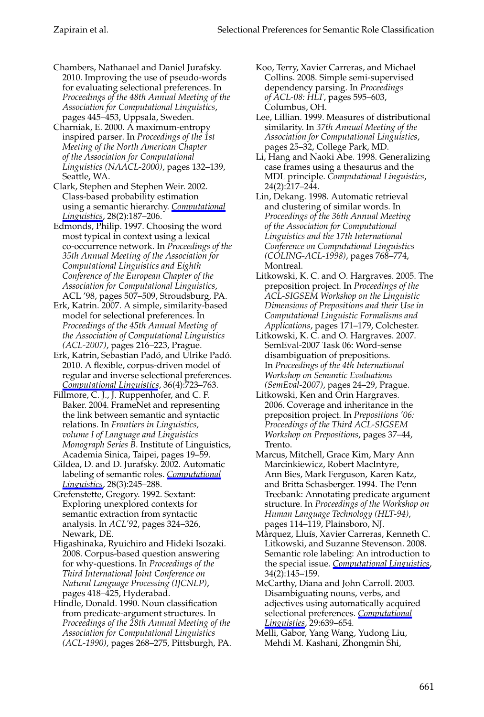- Chambers, Nathanael and Daniel Jurafsky. 2010. Improving the use of pseudo-words for evaluating selectional preferences. In *Proceedings of the 48th Annual Meeting of the Association for Computational Linguistics*, pages 445–453, Uppsala, Sweden.
- Charniak, E. 2000. A maximum-entropy inspired parser. In *Proceedings of the 1st Meeting of the North American Chapter of the Association for Computational Linguistics (NAACL-2000)*, pages 132–139, Seattle, WA.
- Clark, Stephen and Stephen Weir. 2002. Class-based probability estimation using a semantic hierarchy. *Computational Linguistics*, 28(2):187–206.
- Edmonds, Philip. 1997. Choosing the word most typical in context using a lexical co-occurrence network. In *Proceedings of the 35th Annual Meeting of the Association for Computational Linguistics and Eighth Conference of the European Chapter of the Association for Computational Linguistics*, ACL '98, pages 507–509, Stroudsburg, PA.
- Erk, Katrin. 2007. A simple, similarity-based model for selectional preferences. In *Proceedings of the 45th Annual Meeting of the Association of Computational Linguistics (ACL-2007)*, pages 216–223, Prague.
- Erk, Katrin, Sebastian Padó, and Ulrike Padó. 2010. A flexible, corpus-driven model of regular and inverse selectional preferences. *Computational Linguistics*, 36(4):723–763.
- Fillmore, C. J., J. Ruppenhofer, and C. F. Baker. 2004. FrameNet and representing the link between semantic and syntactic relations. In *Frontiers in Linguistics, volume I of Language and Linguistics Monograph Series B*. Institute of Linguistics, Academia Sinica, Taipei, pages 19–59.
- Gildea, D. and D. Jurafsky. 2002. Automatic labeling of semantic roles. *Computational Linguistics*, 28(3):245–288.
- Grefenstette, Gregory. 1992. Sextant: Exploring unexplored contexts for semantic extraction from syntactic analysis. In *ACL'92*, pages 324–326, Newark, DE.
- Higashinaka, Ryuichiro and Hideki Isozaki. 2008. Corpus-based question answering for why-questions. In *Proceedings of the Third International Joint Conference on Natural Language Processing (IJCNLP)*, pages 418–425, Hyderabad.
- Hindle, Donald. 1990. Noun classification from predicate-argument structures. In *Proceedings of the 28th Annual Meeting of the Association for Computational Linguistics (ACL-1990)*, pages 268–275, Pittsburgh, PA.
- Koo, Terry, Xavier Carreras, and Michael Collins. 2008. Simple semi-supervised dependency parsing. In *Proceedings of ACL-08: HLT*, pages 595–603, Columbus, OH.
- Lee, Lillian. 1999. Measures of distributional similarity. In *37th Annual Meeting of the Association for Computational Linguistics*, pages 25–32, College Park, MD.
- Li, Hang and Naoki Abe. 1998. Generalizing case frames using a thesaurus and the MDL principle. *Computational Linguistics*, 24(2):217–244.
- Lin, Dekang. 1998. Automatic retrieval and clustering of similar words. In *Proceedings of the 36th Annual Meeting of the Association for Computational Linguistics and the 17th International Conference on Computational Linguistics (COLING-ACL-1998)*, pages 768–774, Montreal.
- Litkowski, K. C. and O. Hargraves. 2005. The preposition project. In *Proceedings of the ACL-SIGSEM Workshop on the Linguistic Dimensions of Prepositions and their Use in Computational Linguistic Formalisms and Applications*, pages 171–179, Colchester.
- Litkowski, K. C. and O. Hargraves. 2007. SemEval-2007 Task 06: Word-sense disambiguation of prepositions. In *Proceedings of the 4th International Workshop on Semantic Evaluations (SemEval-2007)*, pages 24–29, Prague.
- Litkowski, Ken and Orin Hargraves. 2006. Coverage and inheritance in the preposition project. In *Prepositions '06: Proceedings of the Third ACL-SIGSEM Workshop on Prepositions*, pages 37–44, Trento.
- Marcus, Mitchell, Grace Kim, Mary Ann Marcinkiewicz, Robert MacIntyre, Ann Bies, Mark Ferguson, Karen Katz, and Britta Schasberger. 1994. The Penn Treebank: Annotating predicate argument structure. In *Proceedings of the Workshop on Human Language Technology (HLT-94)*, pages 114–119, Plainsboro, NJ.
- Màrquez, Lluís, Xavier Carreras, Kenneth C. Litkowski, and Suzanne Stevenson. 2008. Semantic role labeling: An introduction to the special issue. *Computational Linguistics*, 34(2):145–159.
- McCarthy, Diana and John Carroll. 2003. Disambiguating nouns, verbs, and adjectives using automatically acquired selectional preferences. *Computational Linguisties*, 29:639–654.
- Melli, Gabor, Yang Wang, Yudong Liu, Mehdi M. Kashani, Zhongmin Shi,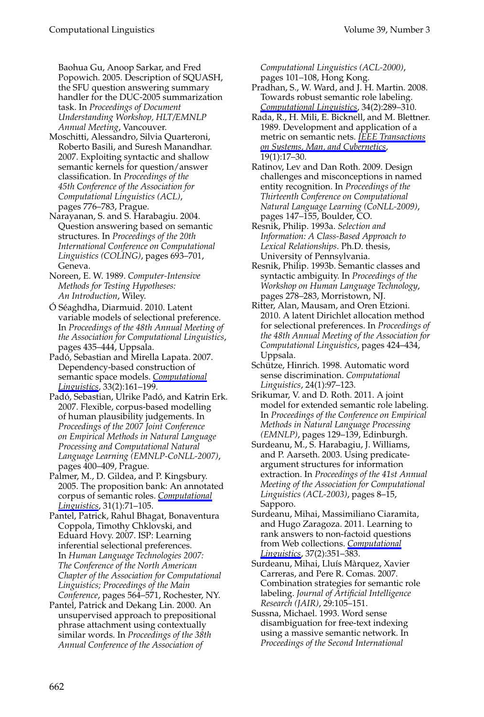#### Computational Linguistics Volume 39, Number 3

Baohua Gu, Anoop Sarkar, and Fred Popowich. 2005. Description of SQUASH, the SFU question answering summary handler for the DUC-2005 summarization task. In *Proceedings of Document Understanding Workshop, HLT/EMNLP Annual Meeting*, Vancouver.

Moschitti, Alessandro, Silvia Quarteroni, Roberto Basili, and Suresh Manandhar. 2007. Exploiting syntactic and shallow semantic kernels for question/answer classification. In *Proceedings of the 45th Conference of the Association for Computational Linguistics (ACL)*, pages 776–783, Prague.

Narayanan, S. and S. Harabagiu. 2004. Question answering based on semantic structures. In *Proceedings of the 20th International Conference on Computational Linguistics (COLING)*, pages 693–701, Geneva.

Noreen, E. W. 1989. *Computer-Intensive Methods for Testing Hypotheses: An Introduction*, Wiley.

Ó Séaghdha, Diarmuid. 2010. Latent variable models of selectional preference. In *Proceedings of the 48th Annual Meeting of the Association for Computational Linguistics*, pages 435–444, Uppsala.

Padó, Sebastian and Mirella Lapata. 2007. Dependency-based construction of semantic space models. *Computational Linguistics*, 33(2):161–199.

Padó, Sebastian, Ulrike Padó, and Katrin Erk. 2007. Flexible, corpus-based modelling of human plausibility judgements. In *Proceedings of the 2007 Joint Conference on Empirical Methods in Natural Language Processing and Computational Natural Language Learning (EMNLP-CoNLL-2007)*, pages 400–409, Prague.

Palmer, M., D. Gildea, and P. Kingsbury. 2005. The proposition bank: An annotated corpus of semantic roles. *Computational Linguistics*, 31(1):71–105.

Pantel, Patrick, Rahul Bhagat, Bonaventura Coppola, Timothy Chklovski, and Eduard Hovy. 2007. ISP: Learning inferential selectional preferences. In *Human Language Technologies 2007: The Conference of the North American Chapter of the Association for Computational Linguistics; Proceedings of the Main Conference*, pages 564–571, Rochester, NY.

Pantel, Patrick and Dekang Lin. 2000. An unsupervised approach to prepositional phrase attachment using contextually similar words. In *Proceedings of the 38th Annual Conference of the Association of*

*Computational Linguistics (ACL-2000)*, pages 101–108, Hong Kong.

Pradhan, S., W. Ward, and J. H. Martin. 2008. Towards robust semantic role labeling. *Computational Linguistics*, 34(2):289–310.

Rada, R., H. Mili, E. Bicknell, and M. Blettner. 1989. Development and application of a metric on semantic nets. *IEEE Transactions on Systems, Man, and Cybernetics*,  $19(1):17-30.$ 

Ratinov, Lev and Dan Roth. 2009. Design challenges and misconceptions in named entity recognition. In *Proceedings of the Thirteenth Conference on Computational Natural Language Learning (CoNLL-2009)*, pages 147–155, Boulder, CO.

Resnik, Philip. 1993a. *Selection and Information: A Class-Based Approach to Lexical Relationships*. Ph.D. thesis, University of Pennsylvania.

Resnik, Philip. 1993b. Semantic classes and syntactic ambiguity. In *Proceedings of the Workshop on Human Language Technology*, pages 278–283, Morristown, NJ.

Ritter, Alan, Mausam, and Oren Etzioni. 2010. A latent Dirichlet allocation method for selectional preferences. In *Proceedings of the 48th Annual Meeting of the Association for Computational Linguistics*, pages 424–434, Uppsala.

Schütze, Hinrich. 1998. Automatic word sense discrimination. *Computational Linguistics*, 24(1):97–123.

Srikumar, V. and D. Roth. 2011. A joint model for extended semantic role labeling. In *Proceedings of the Conference on Empirical Methods in Natural Language Processing (EMNLP)*, pages 129–139, Edinburgh.

Surdeanu, M., S. Harabagiu, J. Williams, and P. Aarseth. 2003. Using predicateargument structures for information extraction. In *Proceedings of the 41st Annual Meeting of the Association for Computational Linguistics (ACL-2003)*, pages 8–15, Sapporo.

Surdeanu, Mihai, Massimiliano Ciaramita, and Hugo Zaragoza. 2011. Learning to rank answers to non-factoid questions from Web collections. *Computational Linguistics*, 37(2):351–383.

Surdeanu, Mihai, Lluís Màrquez, Xavier Carreras, and Pere R. Comas. 2007. Combination strategies for semantic role labeling. *Journal of Artificial Intelligence Research (JAIR)*, 29:105–151.

Sussna, Michael. 1993. Word sense disambiguation for free-text indexing using a massive semantic network. In *Proceedings of the Second International*